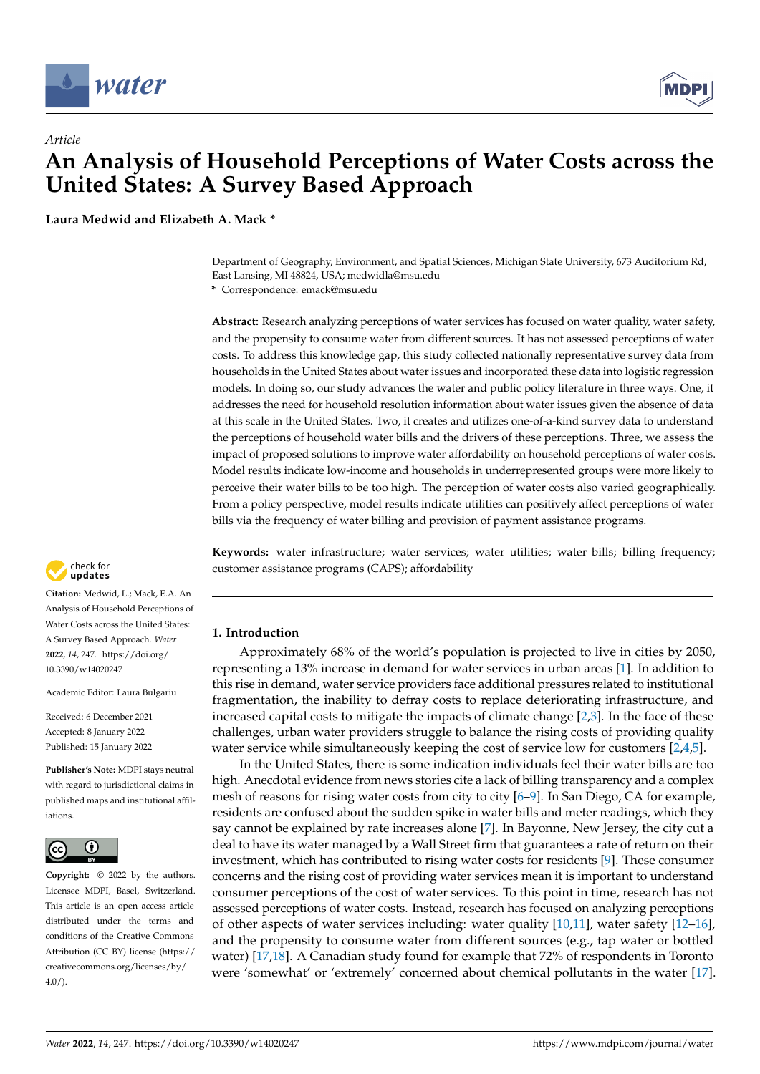

# *Article* **An Analysis of Household Perceptions of Water Costs across the United States: A Survey Based Approach**

**Laura Medwid and Elizabeth A. Mack \***

Department of Geography, Environment, and Spatial Sciences, Michigan State University, 673 Auditorium Rd, East Lansing, MI 48824, USA; medwidla@msu.edu

**\*** Correspondence: emack@msu.edu

**Abstract:** Research analyzing perceptions of water services has focused on water quality, water safety, and the propensity to consume water from different sources. It has not assessed perceptions of water costs. To address this knowledge gap, this study collected nationally representative survey data from households in the United States about water issues and incorporated these data into logistic regression models. In doing so, our study advances the water and public policy literature in three ways. One, it addresses the need for household resolution information about water issues given the absence of data at this scale in the United States. Two, it creates and utilizes one-of-a-kind survey data to understand the perceptions of household water bills and the drivers of these perceptions. Three, we assess the impact of proposed solutions to improve water affordability on household perceptions of water costs. Model results indicate low-income and households in underrepresented groups were more likely to perceive their water bills to be too high. The perception of water costs also varied geographically. From a policy perspective, model results indicate utilities can positively affect perceptions of water bills via the frequency of water billing and provision of payment assistance programs.

**Keywords:** water infrastructure; water services; water utilities; water bills; billing frequency; customer assistance programs (CAPS); affordability

# **1. Introduction**

Approximately 68% of the world's population is projected to live in cities by 2050, representing a 13% increase in demand for water services in urban areas [\[1\]](#page-14-0). In addition to this rise in demand, water service providers face additional pressures related to institutional fragmentation, the inability to defray costs to replace deteriorating infrastructure, and increased capital costs to mitigate the impacts of climate change  $[2,3]$  $[2,3]$ . In the face of these challenges, urban water providers struggle to balance the rising costs of providing quality water service while simultaneously keeping the cost of service low for customers [\[2](#page-14-1)[,4,](#page-14-3)[5\]](#page-14-4).

In the United States, there is some indication individuals feel their water bills are too high. Anecdotal evidence from news stories cite a lack of billing transparency and a complex mesh of reasons for rising water costs from city to city [\[6](#page-15-0)[–9\]](#page-15-1). In San Diego, CA for example, residents are confused about the sudden spike in water bills and meter readings, which they say cannot be explained by rate increases alone [\[7\]](#page-15-2). In Bayonne, New Jersey, the city cut a deal to have its water managed by a Wall Street firm that guarantees a rate of return on their investment, which has contributed to rising water costs for residents [\[9\]](#page-15-1). These consumer concerns and the rising cost of providing water services mean it is important to understand consumer perceptions of the cost of water services. To this point in time, research has not assessed perceptions of water costs. Instead, research has focused on analyzing perceptions of other aspects of water services including: water quality [\[10](#page-15-3)[,11\]](#page-15-4), water safety [\[12–](#page-15-5)[16\]](#page-15-6), and the propensity to consume water from different sources (e.g., tap water or bottled water) [\[17](#page-15-7)[,18\]](#page-15-8). A Canadian study found for example that 72% of respondents in Toronto were 'somewhat' or 'extremely' concerned about chemical pollutants in the water [\[17\]](#page-15-7).



**Citation:** Medwid, L.; Mack, E.A. An Analysis of Household Perceptions of Water Costs across the United States: A Survey Based Approach. *Water* **2022**, *14*, 247. [https://doi.org/](https://doi.org/10.3390/w14020247) [10.3390/w14020247](https://doi.org/10.3390/w14020247)

Academic Editor: Laura Bulgariu

Received: 6 December 2021 Accepted: 8 January 2022 Published: 15 January 2022

**Publisher's Note:** MDPI stays neutral with regard to jurisdictional claims in published maps and institutional affiliations.



**Copyright:** © 2022 by the authors. Licensee MDPI, Basel, Switzerland. This article is an open access article distributed under the terms and conditions of the Creative Commons Attribution (CC BY) license [\(https://](https://creativecommons.org/licenses/by/4.0/) [creativecommons.org/licenses/by/](https://creativecommons.org/licenses/by/4.0/)  $4.0/$ ).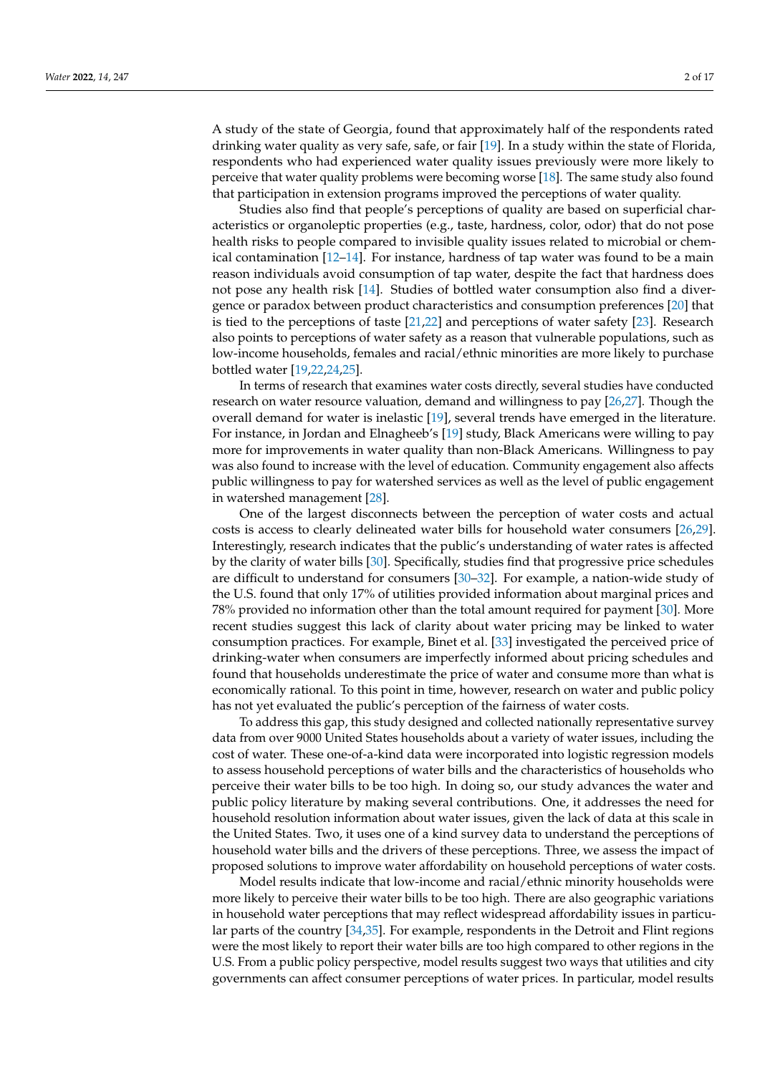A study of the state of Georgia, found that approximately half of the respondents rated drinking water quality as very safe, safe, or fair [\[19\]](#page-15-9). In a study within the state of Florida, respondents who had experienced water quality issues previously were more likely to perceive that water quality problems were becoming worse [\[18\]](#page-15-8). The same study also found that participation in extension programs improved the perceptions of water quality.

Studies also find that people's perceptions of quality are based on superficial characteristics or organoleptic properties (e.g., taste, hardness, color, odor) that do not pose health risks to people compared to invisible quality issues related to microbial or chemical contamination [\[12](#page-15-5)[–14\]](#page-15-10). For instance, hardness of tap water was found to be a main reason individuals avoid consumption of tap water, despite the fact that hardness does not pose any health risk [\[14\]](#page-15-10). Studies of bottled water consumption also find a divergence or paradox between product characteristics and consumption preferences [\[20\]](#page-15-11) that is tied to the perceptions of taste [\[21](#page-15-12)[,22\]](#page-15-13) and perceptions of water safety [\[23\]](#page-15-14). Research also points to perceptions of water safety as a reason that vulnerable populations, such as low-income households, females and racial/ethnic minorities are more likely to purchase bottled water [\[19,](#page-15-9)[22,](#page-15-13)[24,](#page-15-15)[25\]](#page-15-16).

In terms of research that examines water costs directly, several studies have conducted research on water resource valuation, demand and willingness to pay [\[26,](#page-15-17)[27\]](#page-15-18). Though the overall demand for water is inelastic [\[19\]](#page-15-9), several trends have emerged in the literature. For instance, in Jordan and Elnagheeb's [\[19\]](#page-15-9) study, Black Americans were willing to pay more for improvements in water quality than non-Black Americans. Willingness to pay was also found to increase with the level of education. Community engagement also affects public willingness to pay for watershed services as well as the level of public engagement in watershed management [\[28\]](#page-15-19).

One of the largest disconnects between the perception of water costs and actual costs is access to clearly delineated water bills for household water consumers [\[26,](#page-15-17)[29\]](#page-15-20). Interestingly, research indicates that the public's understanding of water rates is affected by the clarity of water bills [\[30\]](#page-15-21). Specifically, studies find that progressive price schedules are difficult to understand for consumers [\[30–](#page-15-21)[32\]](#page-15-22). For example, a nation-wide study of the U.S. found that only 17% of utilities provided information about marginal prices and 78% provided no information other than the total amount required for payment [\[30\]](#page-15-21). More recent studies suggest this lack of clarity about water pricing may be linked to water consumption practices. For example, Binet et al. [\[33\]](#page-15-23) investigated the perceived price of drinking-water when consumers are imperfectly informed about pricing schedules and found that households underestimate the price of water and consume more than what is economically rational. To this point in time, however, research on water and public policy has not yet evaluated the public's perception of the fairness of water costs.

To address this gap, this study designed and collected nationally representative survey data from over 9000 United States households about a variety of water issues, including the cost of water. These one-of-a-kind data were incorporated into logistic regression models to assess household perceptions of water bills and the characteristics of households who perceive their water bills to be too high. In doing so, our study advances the water and public policy literature by making several contributions. One, it addresses the need for household resolution information about water issues, given the lack of data at this scale in the United States. Two, it uses one of a kind survey data to understand the perceptions of household water bills and the drivers of these perceptions. Three, we assess the impact of proposed solutions to improve water affordability on household perceptions of water costs.

Model results indicate that low-income and racial/ethnic minority households were more likely to perceive their water bills to be too high. There are also geographic variations in household water perceptions that may reflect widespread affordability issues in particular parts of the country [\[34,](#page-16-0)[35\]](#page-16-1). For example, respondents in the Detroit and Flint regions were the most likely to report their water bills are too high compared to other regions in the U.S. From a public policy perspective, model results suggest two ways that utilities and city governments can affect consumer perceptions of water prices. In particular, model results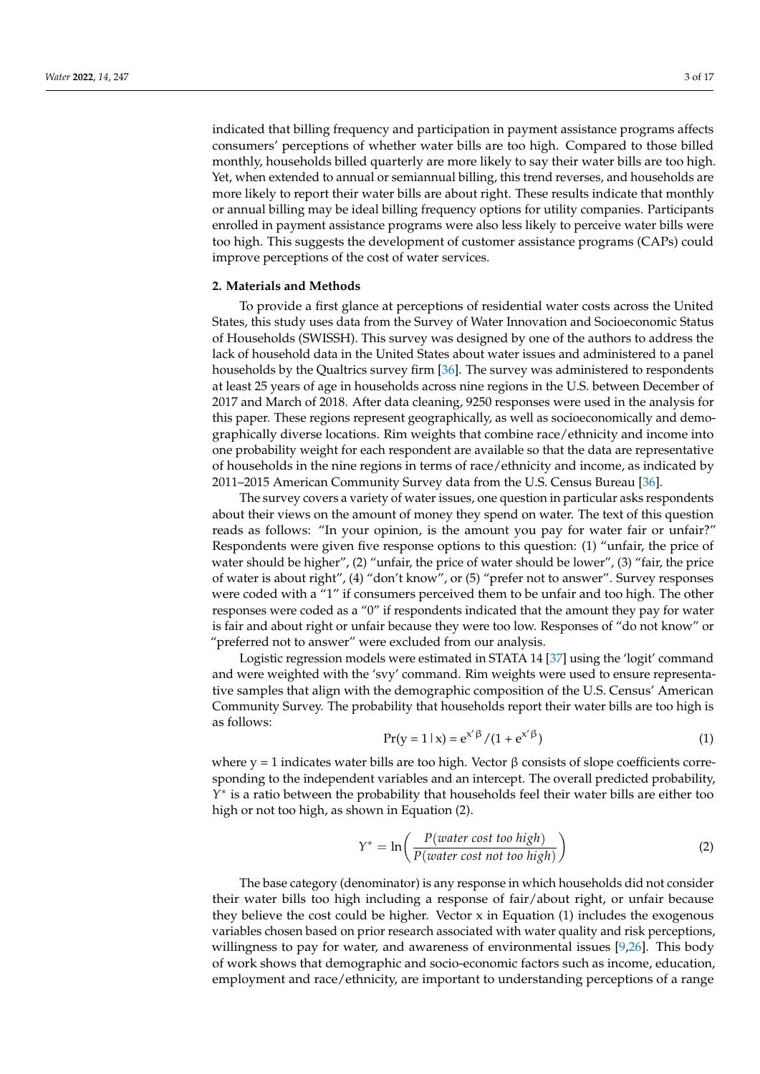indicated that billing frequency and participation in payment assistance programs affects consumers' perceptions of whether water bills are too high. Compared to those billed monthly, households billed quarterly are more likely to say their water bills are too high. Yet, when extended to annual or semiannual billing, this trend reverses, and households are more likely to report their water bills are about right. These results indicate that monthly or annual billing may be ideal billing frequency options for utility companies. Participants enrolled in payment assistance programs were also less likely to perceive water bills were too high. This suggests the development of customer assistance programs (CAPs) could improve perceptions of the cost of water services.

#### **2. Materials and Methods**

To provide a first glance at perceptions of residential water costs across the United States, this study uses data from the Survey of Water Innovation and Socioeconomic Status of Households (SWISSH). This survey was designed by one of the authors to address the lack of household data in the United States about water issues and administered to a panel households by the Qualtrics survey firm [\[36\]](#page-16-2). The survey was administered to respondents at least 25 years of age in households across nine regions in the U.S. between December of 2017 and March of 2018. After data cleaning, 9250 responses were used in the analysis for this paper. These regions represent geographically, as well as socioeconomically and demographically diverse locations. Rim weights that combine race/ethnicity and income into one probability weight for each respondent are available so that the data are representative of households in the nine regions in terms of race/ethnicity and income, as indicated by 2011–2015 American Community Survey data from the U.S. Census Bureau [\[36\]](#page-16-2).

The survey covers a variety of water issues, one question in particular asks respondents about their views on the amount of money they spend on water. The text of this question reads as follows: "In your opinion, is the amount you pay for water fair or unfair?" Respondents were given five response options to this question: (1) "unfair, the price of water should be higher", (2) "unfair, the price of water should be lower", (3) "fair, the price of water is about right", (4) "don't know", or (5) "prefer not to answer". Survey responses were coded with a "1" if consumers perceived them to be unfair and too high. The other responses were coded as a "0" if respondents indicated that the amount they pay for water is fair and about right or unfair because they were too low. Responses of "do not know" or "preferred not to answer" were excluded from our analysis.

Logistic regression models were estimated in STATA 14 [\[37\]](#page-16-3) using the 'logit' command and were weighted with the 'svy' command. Rim weights were used to ensure representative samples that align with the demographic composition of the U.S. Census' American Community Survey. The probability that households report their water bills are too high is as follows:

$$
Pr(y = 1 | x) = e^{x' \beta} / (1 + e^{x' \beta})
$$
\n(1)

where y = 1 indicates water bills are too high. Vector  $\beta$  consists of slope coefficients corresponding to the independent variables and an intercept. The overall predicted probability, *Y* ∗ is a ratio between the probability that households feel their water bills are either too high or not too high, as shown in Equation (2).

$$
Y^* = \ln\left(\frac{P(water \ cost \ too \ high)}{P(water \ cost \ not \ too \ high)}\right)
$$
 (2)

The base category (denominator) is any response in which households did not consider their water bills too high including a response of fair/about right, or unfair because they believe the cost could be higher. Vector  $x$  in Equation (1) includes the exogenous variables chosen based on prior research associated with water quality and risk perceptions, willingness to pay for water, and awareness of environmental issues [\[9,](#page-15-1)[26\]](#page-15-17). This body of work shows that demographic and socio-economic factors such as income, education, employment and race/ethnicity, are important to understanding perceptions of a range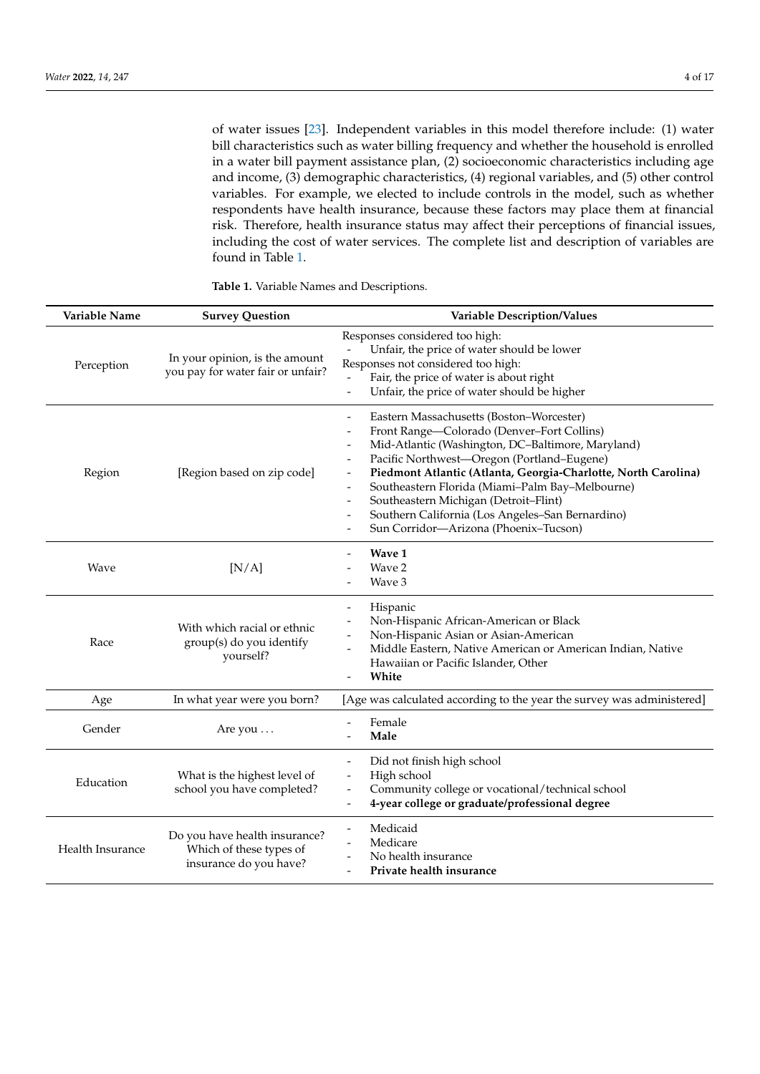of water issues [\[23\]](#page-15-14). Independent variables in this model therefore include: (1) water bill characteristics such as water billing frequency and whether the household is enrolled in a water bill payment assistance plan, (2) socioeconomic characteristics including age and income, (3) demographic characteristics, (4) regional variables, and (5) other control variables. For example, we elected to include controls in the model, such as whether respondents have health insurance, because these factors may place them at financial risk. Therefore, health insurance status may affect their perceptions of financial issues, including the cost of water services. The complete list and description of variables are found in Table [1.](#page-4-0)

| Variable Name    | <b>Survey Question</b>                                                             | Variable Description/Values                                                                                                                                                                                                                                                                                                                                                                                                                                                                                                                                |
|------------------|------------------------------------------------------------------------------------|------------------------------------------------------------------------------------------------------------------------------------------------------------------------------------------------------------------------------------------------------------------------------------------------------------------------------------------------------------------------------------------------------------------------------------------------------------------------------------------------------------------------------------------------------------|
| Perception       | In your opinion, is the amount<br>you pay for water fair or unfair?                | Responses considered too high:<br>Unfair, the price of water should be lower<br>Responses not considered too high:<br>Fair, the price of water is about right<br>Unfair, the price of water should be higher<br>$\overline{\phantom{a}}$                                                                                                                                                                                                                                                                                                                   |
| Region           | [Region based on zip code]                                                         | Eastern Massachusetts (Boston-Worcester)<br>$\overline{\phantom{a}}$<br>Front Range-Colorado (Denver-Fort Collins)<br>Mid-Atlantic (Washington, DC-Baltimore, Maryland)<br>Pacific Northwest-Oregon (Portland-Eugene)<br>Piedmont Atlantic (Atlanta, Georgia-Charlotte, North Carolina)<br>Southeastern Florida (Miami-Palm Bay-Melbourne)<br>Southeastern Michigan (Detroit-Flint)<br>$\overline{\phantom{a}}$<br>Southern California (Los Angeles-San Bernardino)<br>$\overline{a}$<br>Sun Corridor-Arizona (Phoenix-Tucson)<br>$\overline{\phantom{0}}$ |
| Wave             | [N/A]                                                                              | Wave 1<br>Wave 2<br>Wave 3                                                                                                                                                                                                                                                                                                                                                                                                                                                                                                                                 |
| Race             | With which racial or ethnic<br>group(s) do you identify<br>yourself?               | Hispanic<br>$\overline{\phantom{0}}$<br>Non-Hispanic African-American or Black<br>Non-Hispanic Asian or Asian-American<br>Middle Eastern, Native American or American Indian, Native<br>Hawaiian or Pacific Islander, Other<br>White<br>$\overline{a}$                                                                                                                                                                                                                                                                                                     |
| Age              | In what year were you born?                                                        | [Age was calculated according to the year the survey was administered]                                                                                                                                                                                                                                                                                                                                                                                                                                                                                     |
| Gender           | Are you $\dots$                                                                    | Female<br>Male                                                                                                                                                                                                                                                                                                                                                                                                                                                                                                                                             |
| Education        | What is the highest level of<br>school you have completed?                         | Did not finish high school<br>$\overline{\phantom{0}}$<br>High school<br>Community college or vocational/technical school<br>$\overline{\phantom{0}}$<br>4-year college or graduate/professional degree<br>$\overline{\phantom{a}}$                                                                                                                                                                                                                                                                                                                        |
| Health Insurance | Do you have health insurance?<br>Which of these types of<br>insurance do you have? | Medicaid<br>$\overline{\phantom{a}}$<br>Medicare<br>$\overline{\phantom{a}}$<br>No health insurance<br>Private health insurance<br>$\overline{a}$                                                                                                                                                                                                                                                                                                                                                                                                          |

**Table 1.** Variable Names and Descriptions.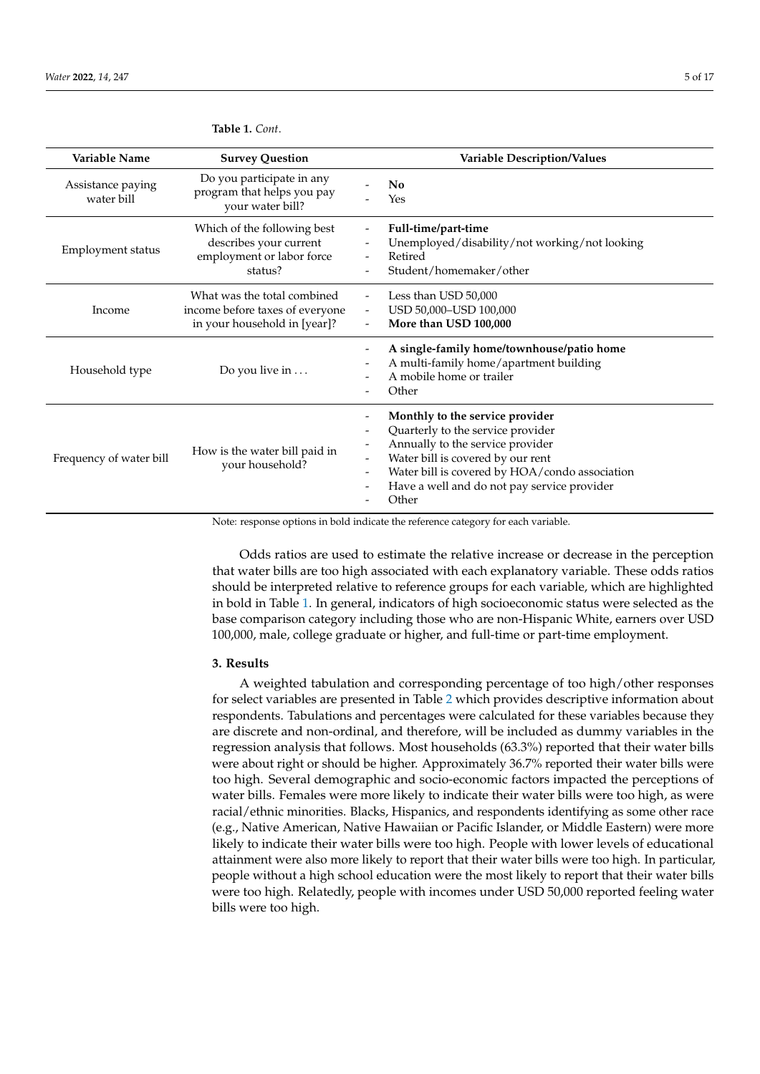| Variable Name                                                                                                      | <b>Survey Question</b>                                                                         | <b>Variable Description/Values</b>                                                                                                                                                                                                                                                                                            |
|--------------------------------------------------------------------------------------------------------------------|------------------------------------------------------------------------------------------------|-------------------------------------------------------------------------------------------------------------------------------------------------------------------------------------------------------------------------------------------------------------------------------------------------------------------------------|
| Assistance paying<br>water bill                                                                                    | Do you participate in any<br>program that helps you pay<br>your water bill?                    | N <sub>0</sub><br>Yes                                                                                                                                                                                                                                                                                                         |
| Which of the following best<br>describes your current<br>Employment status<br>employment or labor force<br>status? |                                                                                                | Full-time/part-time<br>Unemployed/disability/not working/not looking<br>Retired<br>Student/homemaker/other                                                                                                                                                                                                                    |
| Income                                                                                                             | What was the total combined<br>income before taxes of everyone<br>in your household in [year]? | Less than USD 50,000<br>USD 50,000-USD 100,000<br>$\overline{\phantom{a}}$<br>More than USD 100,000<br>$\overline{\phantom{0}}$                                                                                                                                                                                               |
| Household type                                                                                                     | Do you live in $\dots$                                                                         | A single-family home/townhouse/patio home<br>A multi-family home/apartment building<br>A mobile home or trailer<br>Other                                                                                                                                                                                                      |
| How is the water bill paid in<br>Frequency of water bill<br>your household?                                        |                                                                                                | Monthly to the service provider<br>Quarterly to the service provider<br>$\qquad \qquad -$<br>Annually to the service provider<br>$\qquad \qquad -$<br>Water bill is covered by our rent<br>Water bill is covered by HOA/condo association<br>$\overline{\phantom{0}}$<br>Have a well and do not pay service provider<br>Other |

<span id="page-4-0"></span>**Table 1.** *Cont*.

Note: response options in bold indicate the reference category for each variable.

Odds ratios are used to estimate the relative increase or decrease in the perception that water bills are too high associated with each explanatory variable. These odds ratios should be interpreted relative to reference groups for each variable, which are highlighted in bold in Table [1.](#page-4-0) In general, indicators of high socioeconomic status were selected as the base comparison category including those who are non-Hispanic White, earners over USD 100,000, male, college graduate or higher, and full-time or part-time employment.

## **3. Results**

A weighted tabulation and corresponding percentage of too high/other responses for select variables are presented in Table [2](#page-5-0) which provides descriptive information about respondents. Tabulations and percentages were calculated for these variables because they are discrete and non-ordinal, and therefore, will be included as dummy variables in the regression analysis that follows. Most households (63.3%) reported that their water bills were about right or should be higher. Approximately 36.7% reported their water bills were too high. Several demographic and socio-economic factors impacted the perceptions of water bills. Females were more likely to indicate their water bills were too high, as were racial/ethnic minorities. Blacks, Hispanics, and respondents identifying as some other race (e.g., Native American, Native Hawaiian or Pacific Islander, or Middle Eastern) were more likely to indicate their water bills were too high. People with lower levels of educational attainment were also more likely to report that their water bills were too high. In particular, people without a high school education were the most likely to report that their water bills were too high. Relatedly, people with incomes under USD 50,000 reported feeling water bills were too high.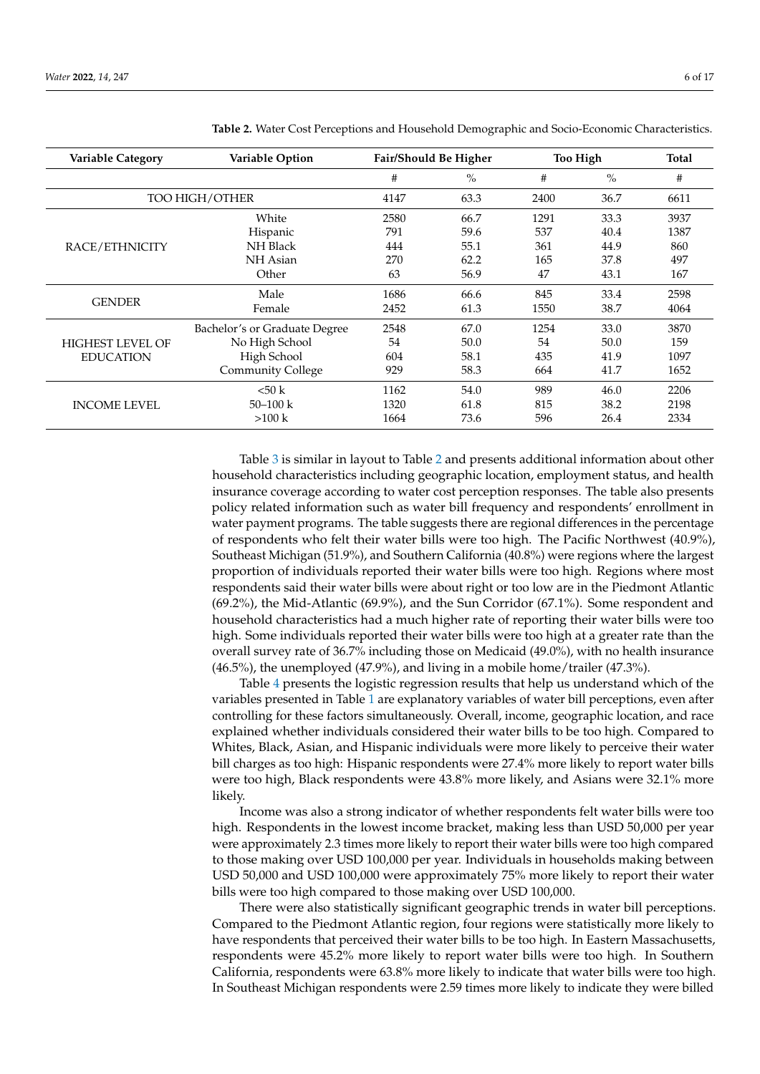| <b>Variable Category</b> | Variable Option               | Fair/Should Be Higher |      | <b>Too High</b> |               | Total |
|--------------------------|-------------------------------|-----------------------|------|-----------------|---------------|-------|
|                          |                               | #                     | $\%$ | #               | $\frac{0}{0}$ | #     |
| TOO HIGH/OTHER           |                               | 4147                  | 63.3 | 2400            | 36.7          | 6611  |
|                          | White                         | 2580                  | 66.7 | 1291            | 33.3          | 3937  |
|                          | Hispanic                      | 791                   | 59.6 | 537             | 40.4          | 1387  |
| RACE/ETHNICITY           | <b>NH</b> Black               | 444                   | 55.1 | 361             | 44.9          | 860   |
|                          | NH Asian                      | 270                   | 62.2 | 165             | 37.8          | 497   |
|                          | Other                         | 63                    | 56.9 | 47              | 43.1          | 167   |
|                          | Male                          | 1686                  | 66.6 | 845             | 33.4          | 2598  |
| <b>GENDER</b>            | Female                        | 2452                  | 61.3 | 1550            | 38.7          | 4064  |
|                          | Bachelor's or Graduate Degree | 2548                  | 67.0 | 1254            | 33.0          | 3870  |
| <b>HIGHEST LEVEL OF</b>  | No High School                | 54                    | 50.0 | 54              | 50.0          | 159   |
| <b>EDUCATION</b>         | High School                   | 604                   | 58.1 | 435             | 41.9          | 1097  |
|                          | <b>Community College</b>      | 929                   | 58.3 | 664             | 41.7          | 1652  |
|                          | < 50 k                        | 1162                  | 54.0 | 989             | 46.0          | 2206  |
| <b>INCOME LEVEL</b>      | $50 - 100$ k                  | 1320                  | 61.8 | 815             | 38.2          | 2198  |
|                          | $>100 \text{ k}$              | 1664                  | 73.6 | 596             | 26.4          | 2334  |

<span id="page-5-0"></span>**Table 2.** Water Cost Perceptions and Household Demographic and Socio-Economic Characteristics.

Table [3](#page-6-0) is similar in layout to Table [2](#page-5-0) and presents additional information about other household characteristics including geographic location, employment status, and health insurance coverage according to water cost perception responses. The table also presents policy related information such as water bill frequency and respondents' enrollment in water payment programs. The table suggests there are regional differences in the percentage of respondents who felt their water bills were too high. The Pacific Northwest (40.9%), Southeast Michigan (51.9%), and Southern California (40.8%) were regions where the largest proportion of individuals reported their water bills were too high. Regions where most respondents said their water bills were about right or too low are in the Piedmont Atlantic (69.2%), the Mid-Atlantic (69.9%), and the Sun Corridor (67.1%). Some respondent and household characteristics had a much higher rate of reporting their water bills were too high. Some individuals reported their water bills were too high at a greater rate than the overall survey rate of 36.7% including those on Medicaid (49.0%), with no health insurance (46.5%), the unemployed (47.9%), and living in a mobile home/trailer (47.3%).

Table [4](#page-7-0) presents the logistic regression results that help us understand which of the variables presented in Table [1](#page-4-0) are explanatory variables of water bill perceptions, even after controlling for these factors simultaneously. Overall, income, geographic location, and race explained whether individuals considered their water bills to be too high. Compared to Whites, Black, Asian, and Hispanic individuals were more likely to perceive their water bill charges as too high: Hispanic respondents were 27.4% more likely to report water bills were too high, Black respondents were 43.8% more likely, and Asians were 32.1% more likely.

Income was also a strong indicator of whether respondents felt water bills were too high. Respondents in the lowest income bracket, making less than USD 50,000 per year were approximately 2.3 times more likely to report their water bills were too high compared to those making over USD 100,000 per year. Individuals in households making between USD 50,000 and USD 100,000 were approximately 75% more likely to report their water bills were too high compared to those making over USD 100,000.

There were also statistically significant geographic trends in water bill perceptions. Compared to the Piedmont Atlantic region, four regions were statistically more likely to have respondents that perceived their water bills to be too high. In Eastern Massachusetts, respondents were 45.2% more likely to report water bills were too high. In Southern California, respondents were 63.8% more likely to indicate that water bills were too high. In Southeast Michigan respondents were 2.59 times more likely to indicate they were billed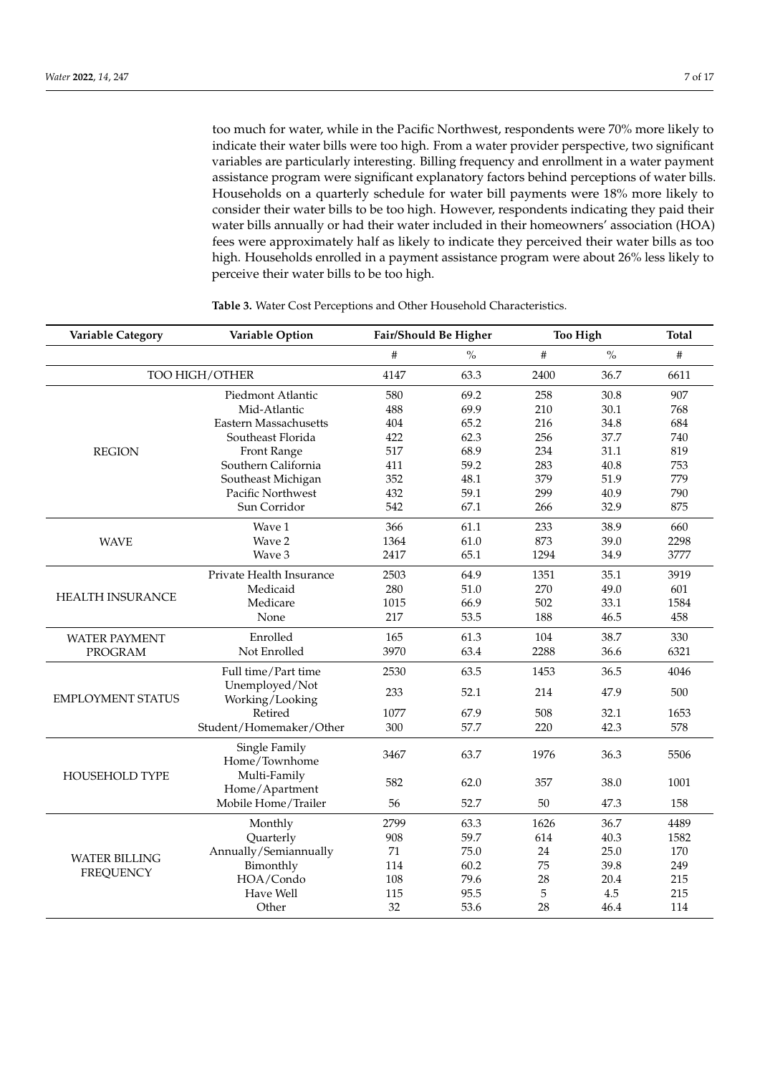too much for water, while in the Pacific Northwest, respondents were 70% more likely to indicate their water bills were too high. From a water provider perspective, two significant variables are particularly interesting. Billing frequency and enrollment in a water payment assistance program were significant explanatory factors behind perceptions of water bills. Households on a quarterly schedule for water bill payments were 18% more likely to consider their water bills to be too high. However, respondents indicating they paid their water bills annually or had their water included in their homeowners' association (HOA) fees were approximately half as likely to indicate they perceived their water bills as too high. Households enrolled in a payment assistance program were about 26% less likely to perceive their water bills to be too high.

| <b>Variable Category</b> | Variable Option                |      | Fair/Should Be Higher |      | <b>Too High</b> | <b>Total</b> |
|--------------------------|--------------------------------|------|-----------------------|------|-----------------|--------------|
|                          |                                | #    | $\frac{0}{0}$         | #    | $\%$            | #            |
|                          | TOO HIGH/OTHER                 | 4147 | 63.3                  | 2400 | 36.7            | 6611         |
|                          | Piedmont Atlantic              | 580  | 69.2                  | 258  | 30.8            | 907          |
|                          | Mid-Atlantic                   | 488  | 69.9                  | 210  | 30.1            | 768          |
|                          | Eastern Massachusetts          | 404  | 65.2                  | 216  | 34.8            | 684          |
|                          | Southeast Florida              | 422  | 62.3                  | 256  | 37.7            | 740          |
| <b>REGION</b>            | Front Range                    | 517  | 68.9                  | 234  | 31.1            | 819          |
|                          | Southern California            | 411  | 59.2                  | 283  | 40.8            | 753          |
|                          | Southeast Michigan             | 352  | 48.1                  | 379  | 51.9            | 779          |
|                          | Pacific Northwest              | 432  | 59.1                  | 299  | 40.9            | 790          |
|                          | Sun Corridor                   | 542  | 67.1                  | 266  | 32.9            | 875          |
|                          | Wave 1                         | 366  | 61.1                  | 233  | 38.9            | 660          |
| <b>WAVE</b>              | Wave 2                         | 1364 | 61.0                  | 873  | 39.0            | 2298         |
|                          | Wave 3                         | 2417 | 65.1                  | 1294 | 34.9            | 3777         |
|                          | Private Health Insurance       | 2503 | 64.9                  | 1351 | 35.1            | 3919         |
|                          | Medicaid                       | 280  | 51.0                  | 270  | 49.0            | 601          |
| <b>HEALTH INSURANCE</b>  | Medicare                       | 1015 | 66.9                  | 502  | 33.1            | 1584         |
|                          | None                           | 217  | 53.5                  | 188  | 46.5            | 458          |
| <b>WATER PAYMENT</b>     | Enrolled                       | 165  | 61.3                  | 104  | 38.7            | 330          |
| <b>PROGRAM</b>           | Not Enrolled                   | 3970 | 63.4                  | 2288 | 36.6            | 6321         |
|                          | Full time/Part time            | 2530 | 63.5                  | 1453 | 36.5            | 4046         |
|                          | Unemployed/Not                 | 233  | 52.1                  | 214  | 47.9            | 500          |
| <b>EMPLOYMENT STATUS</b> | Working/Looking<br>Retired     | 1077 | 67.9                  | 508  | 32.1            | 1653         |
|                          | Student/Homemaker/Other        | 300  | 57.7                  | 220  | 42.3            | 578          |
|                          | Single Family<br>Home/Townhome | 3467 | 63.7                  | 1976 | 36.3            | 5506         |
| <b>HOUSEHOLD TYPE</b>    | Multi-Family<br>Home/Apartment | 582  | 62.0                  | 357  | 38.0            | 1001         |
|                          | Mobile Home/Trailer            | 56   | 52.7                  | 50   | 47.3            | 158          |
|                          | Monthly                        | 2799 | 63.3                  | 1626 | 36.7            | 4489         |
|                          | Quarterly                      | 908  | 59.7                  | 614  | 40.3            | 1582         |
| <b>WATER BILLING</b>     | Annually/Semiannually          | 71   | 75.0                  | 24   | 25.0            | 170          |
| <b>FREQUENCY</b>         | Bimonthly                      | 114  | 60.2                  | 75   | 39.8            | 249          |
|                          | HOA/Condo                      | 108  | 79.6                  | 28   | 20.4            | 215          |
|                          | Have Well                      | 115  | 95.5                  | 5    | 4.5             | 215          |
|                          | Other                          | 32   | 53.6                  | 28   | 46.4            | 114          |

<span id="page-6-0"></span>**Table 3.** Water Cost Perceptions and Other Household Characteristics.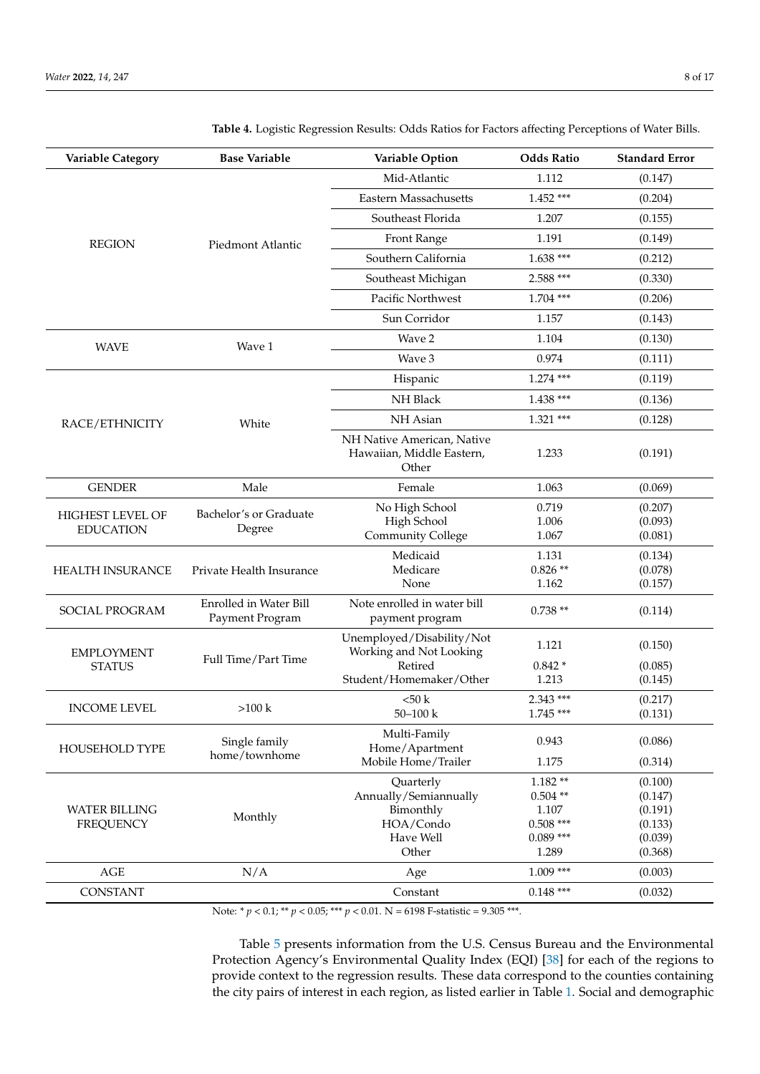| Variable Category                           | <b>Base Variable</b>                             | Variable Option                                                                            | <b>Odds Ratio</b>                                                     | <b>Standard Error</b>                                          |
|---------------------------------------------|--------------------------------------------------|--------------------------------------------------------------------------------------------|-----------------------------------------------------------------------|----------------------------------------------------------------|
|                                             |                                                  | Mid-Atlantic                                                                               | 1.112                                                                 | (0.147)                                                        |
|                                             |                                                  | Eastern Massachusetts                                                                      | $1.452$ ***                                                           | (0.204)                                                        |
|                                             |                                                  | Southeast Florida                                                                          | 1.207                                                                 | (0.155)                                                        |
| <b>REGION</b>                               | Piedmont Atlantic                                | Front Range                                                                                | 1.191                                                                 | (0.149)                                                        |
|                                             |                                                  | Southern California                                                                        | $1.638***$                                                            | (0.212)                                                        |
|                                             |                                                  | Southeast Michigan                                                                         | 2.588 ***                                                             | (0.330)                                                        |
|                                             |                                                  | Pacific Northwest                                                                          | $1.704$ ***                                                           | (0.206)                                                        |
|                                             |                                                  | Sun Corridor                                                                               | 1.157                                                                 | (0.143)                                                        |
|                                             |                                                  | Wave 2                                                                                     | 1.104                                                                 | (0.130)                                                        |
| <b>WAVE</b>                                 | Wave 1                                           | Wave 3                                                                                     | 0.974                                                                 | (0.111)                                                        |
|                                             |                                                  | Hispanic                                                                                   | $1.274$ ***                                                           | (0.119)                                                        |
|                                             |                                                  | NH Black                                                                                   | $1.438$ ***                                                           | (0.136)                                                        |
| RACE/ETHNICITY                              | White                                            | NH Asian                                                                                   | $1.321$ ***                                                           | (0.128)                                                        |
|                                             |                                                  | NH Native American, Native<br>Hawaiian, Middle Eastern,<br>Other                           | 1.233                                                                 | (0.191)                                                        |
| <b>GENDER</b>                               | Male                                             | Female                                                                                     | 1.063                                                                 | (0.069)                                                        |
| <b>HIGHEST LEVEL OF</b><br><b>EDUCATION</b> | Bachelor's or Graduate<br>Degree                 | No High School<br>High School<br><b>Community College</b>                                  | 0.719<br>1.006<br>1.067                                               | (0.207)<br>(0.093)<br>(0.081)                                  |
| <b>HEALTH INSURANCE</b>                     | Private Health Insurance                         | Medicaid<br>Medicare<br>None                                                               | 1.131<br>$0.826**$<br>1.162                                           | (0.134)<br>(0.078)<br>(0.157)                                  |
| SOCIAL PROGRAM                              | <b>Enrolled in Water Bill</b><br>Payment Program | Note enrolled in water bill<br>payment program                                             | $0.738**$                                                             | (0.114)                                                        |
| <b>EMPLOYMENT</b><br><b>STATUS</b>          | Full Time/Part Time                              | Unemployed/Disability/Not<br>Working and Not Looking<br>Retired<br>Student/Homemaker/Other | 1.121<br>$0.842*$<br>1.213                                            | (0.150)<br>(0.085)<br>(0.145)                                  |
| <b>INCOME LEVEL</b>                         | $>100$ k                                         | < 50 k<br>$50 - 100$ k                                                                     | 2.343 ***<br>$1.745***$                                               | (0.217)<br>(0.131)                                             |
| HOUSEHOLD TYPE                              | Single family<br>home/townhome                   | Multi-Family<br>Home/Apartment<br>Mobile Home/Trailer                                      | 0.943<br>1.175                                                        | (0.086)<br>(0.314)                                             |
| <b>WATER BILLING</b><br><b>FREQUENCY</b>    | Monthly                                          | Quarterly<br>Annually/Semiannually<br>Bimonthly<br>HOA/Condo<br>Have Well<br>Other         | $1.182**$<br>$0.504**$<br>1.107<br>$0.508$ ***<br>$0.089***$<br>1.289 | (0.100)<br>(0.147)<br>(0.191)<br>(0.133)<br>(0.039)<br>(0.368) |
| AGE                                         | N/A                                              | Age                                                                                        | $1.009$ ***                                                           | (0.003)                                                        |
| <b>CONSTANT</b>                             |                                                  | Constant                                                                                   | $0.148$ ***                                                           | (0.032)                                                        |

<span id="page-7-0"></span>**Table 4.** Logistic Regression Results: Odds Ratios for Factors affecting Perceptions of Water Bills.

Note: \* *p* < 0.1; \*\* *p* < 0.05; \*\*\* *p* < 0.01. N = 6198 F-statistic = 9.305 \*\*\*.

Table [5](#page-10-0) presents information from the U.S. Census Bureau and the Environmental Protection Agency's Environmental Quality Index (EQI) [\[38\]](#page-16-4) for each of the regions to provide context to the regression results. These data correspond to the counties containing the city pairs of interest in each region, as listed earlier in Table [1.](#page-4-0) Social and demographic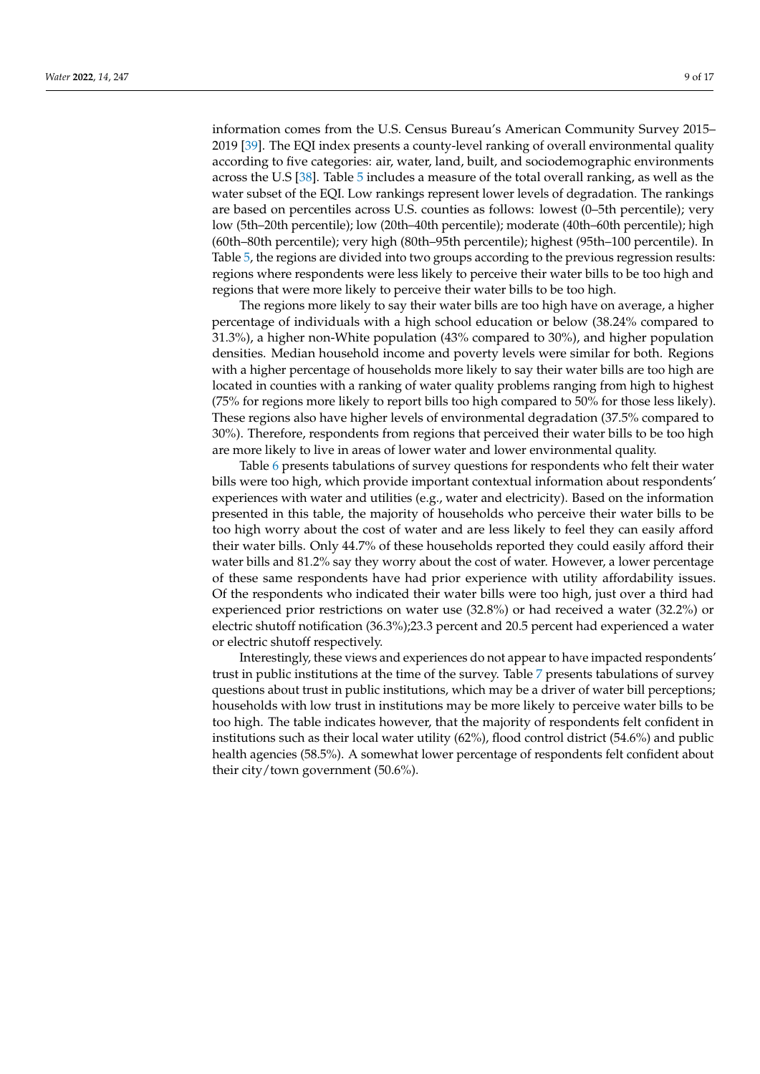information comes from the U.S. Census Bureau's American Community Survey 2015– 2019 [\[39\]](#page-16-5). The EQI index presents a county-level ranking of overall environmental quality according to five categories: air, water, land, built, and sociodemographic environments across the U.S [\[38\]](#page-16-4). Table [5](#page-10-0) includes a measure of the total overall ranking, as well as the water subset of the EQI. Low rankings represent lower levels of degradation. The rankings are based on percentiles across U.S. counties as follows: lowest (0–5th percentile); very low (5th–20th percentile); low (20th–40th percentile); moderate (40th–60th percentile); high (60th–80th percentile); very high (80th–95th percentile); highest (95th–100 percentile). In Table [5,](#page-10-0) the regions are divided into two groups according to the previous regression results: regions where respondents were less likely to perceive their water bills to be too high and regions that were more likely to perceive their water bills to be too high.

The regions more likely to say their water bills are too high have on average, a higher percentage of individuals with a high school education or below (38.24% compared to 31.3%), a higher non-White population (43% compared to 30%), and higher population densities. Median household income and poverty levels were similar for both. Regions with a higher percentage of households more likely to say their water bills are too high are located in counties with a ranking of water quality problems ranging from high to highest (75% for regions more likely to report bills too high compared to 50% for those less likely). These regions also have higher levels of environmental degradation (37.5% compared to 30%). Therefore, respondents from regions that perceived their water bills to be too high are more likely to live in areas of lower water and lower environmental quality.

Table [6](#page-11-0) presents tabulations of survey questions for respondents who felt their water bills were too high, which provide important contextual information about respondents' experiences with water and utilities (e.g., water and electricity). Based on the information presented in this table, the majority of households who perceive their water bills to be too high worry about the cost of water and are less likely to feel they can easily afford their water bills. Only 44.7% of these households reported they could easily afford their water bills and 81.2% say they worry about the cost of water. However, a lower percentage of these same respondents have had prior experience with utility affordability issues. Of the respondents who indicated their water bills were too high, just over a third had experienced prior restrictions on water use (32.8%) or had received a water (32.2%) or electric shutoff notification (36.3%);23.3 percent and 20.5 percent had experienced a water or electric shutoff respectively.

Interestingly, these views and experiences do not appear to have impacted respondents' trust in public institutions at the time of the survey. Table [7](#page-11-1) presents tabulations of survey questions about trust in public institutions, which may be a driver of water bill perceptions; households with low trust in institutions may be more likely to perceive water bills to be too high. The table indicates however, that the majority of respondents felt confident in institutions such as their local water utility (62%), flood control district (54.6%) and public health agencies (58.5%). A somewhat lower percentage of respondents felt confident about their city/town government (50.6%).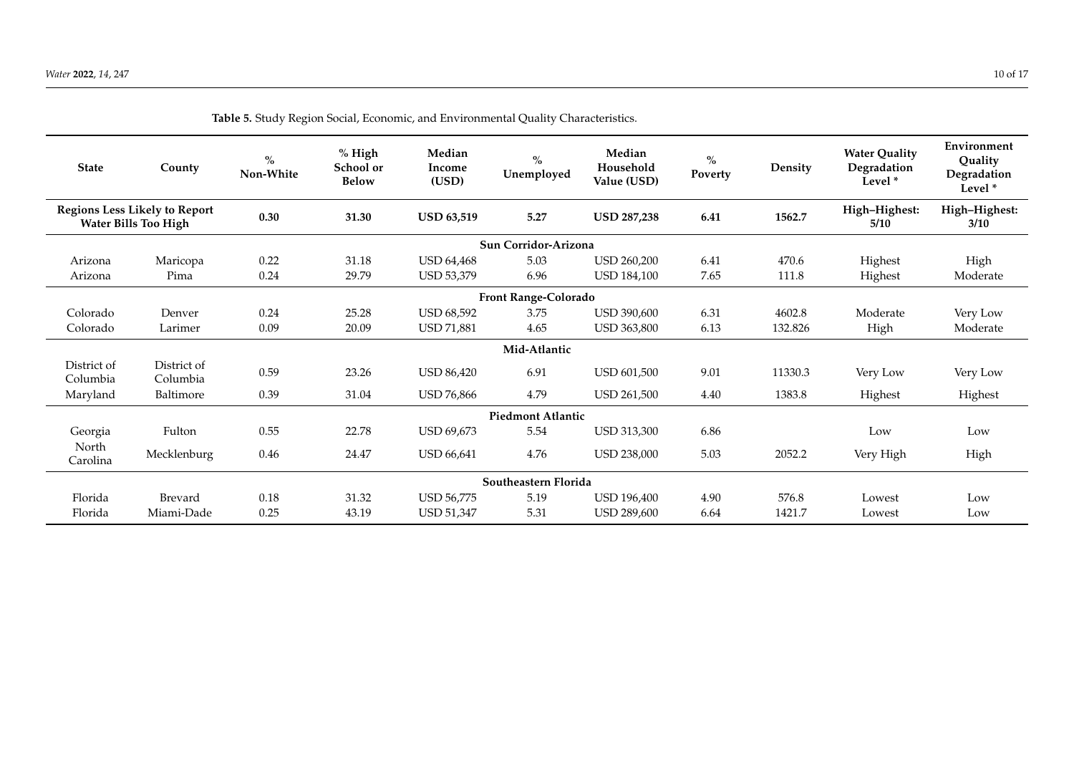| <b>State</b>            | County                                                              | $\%$<br>Non-White | $%$ High<br>School or<br><b>Below</b> | Median<br>Income<br>(USD) | $\frac{0}{0}$<br>Unemployed | Median<br>Household<br>Value (USD) | $\%$<br>Poverty | Density | <b>Water Quality</b><br>Degradation<br>Level $*$ | Environment<br>Quality<br>Degradation<br>Level <sup>*</sup> |
|-------------------------|---------------------------------------------------------------------|-------------------|---------------------------------------|---------------------------|-----------------------------|------------------------------------|-----------------|---------|--------------------------------------------------|-------------------------------------------------------------|
|                         | <b>Regions Less Likely to Report</b><br><b>Water Bills Too High</b> | 0.30              | 31.30                                 | <b>USD 63,519</b>         | 5.27                        | <b>USD 287,238</b>                 | 6.41            | 1562.7  | High-Highest:<br>5/10                            | High-Highest:<br>3/10                                       |
|                         |                                                                     |                   |                                       |                           | Sun Corridor-Arizona        |                                    |                 |         |                                                  |                                                             |
| Arizona                 | Maricopa                                                            | 0.22              | 31.18                                 | <b>USD 64,468</b>         | 5.03                        | <b>USD 260,200</b>                 | 6.41            | 470.6   | Highest                                          | High                                                        |
| Arizona                 | Pima                                                                | 0.24              | 29.79                                 | USD 53,379                | 6.96                        | <b>USD 184,100</b>                 | 7.65            | 111.8   | Highest                                          | Moderate                                                    |
|                         |                                                                     |                   |                                       |                           | <b>Front Range-Colorado</b> |                                    |                 |         |                                                  |                                                             |
| Colorado                | Denver                                                              | 0.24              | 25.28                                 | <b>USD 68,592</b>         | 3.75                        | <b>USD 390,600</b>                 | 6.31            | 4602.8  | Moderate                                         | Very Low                                                    |
| Colorado                | Larimer                                                             | 0.09              | 20.09                                 | USD 71,881                | 4.65                        | <b>USD 363,800</b>                 | 6.13            | 132.826 | High                                             | Moderate                                                    |
|                         |                                                                     |                   |                                       |                           | Mid-Atlantic                |                                    |                 |         |                                                  |                                                             |
| District of<br>Columbia | District of<br>Columbia                                             | 0.59              | 23.26                                 | <b>USD 86,420</b>         | 6.91                        | <b>USD 601,500</b>                 | 9.01            | 11330.3 | Very Low                                         | Very Low                                                    |
| Maryland                | Baltimore                                                           | 0.39              | 31.04                                 | <b>USD 76,866</b>         | 4.79                        | <b>USD 261,500</b>                 | 4.40            | 1383.8  | Highest                                          | Highest                                                     |
|                         |                                                                     |                   |                                       |                           | <b>Piedmont Atlantic</b>    |                                    |                 |         |                                                  |                                                             |
| Georgia                 | Fulton                                                              | 0.55              | 22.78                                 | <b>USD 69,673</b>         | 5.54                        | USD 313,300                        | 6.86            |         | Low                                              | Low                                                         |
| North<br>Carolina       | Mecklenburg                                                         | 0.46              | 24.47                                 | <b>USD 66,641</b>         | 4.76                        | USD 238,000                        | 5.03            | 2052.2  | Very High                                        | High                                                        |
|                         |                                                                     |                   |                                       |                           | Southeastern Florida        |                                    |                 |         |                                                  |                                                             |
| Florida                 | Brevard                                                             | 0.18              | 31.32                                 | <b>USD 56,775</b>         | 5.19                        | <b>USD 196,400</b>                 | 4.90            | 576.8   | Lowest                                           | Low                                                         |
| Florida                 | Miami-Dade                                                          | 0.25              | 43.19                                 | <b>USD 51,347</b>         | 5.31                        | USD 289,600                        | 6.64            | 1421.7  | Lowest                                           | Low                                                         |

**Table 5.** Study Region Social, Economic, and Environmental Quality Characteristics.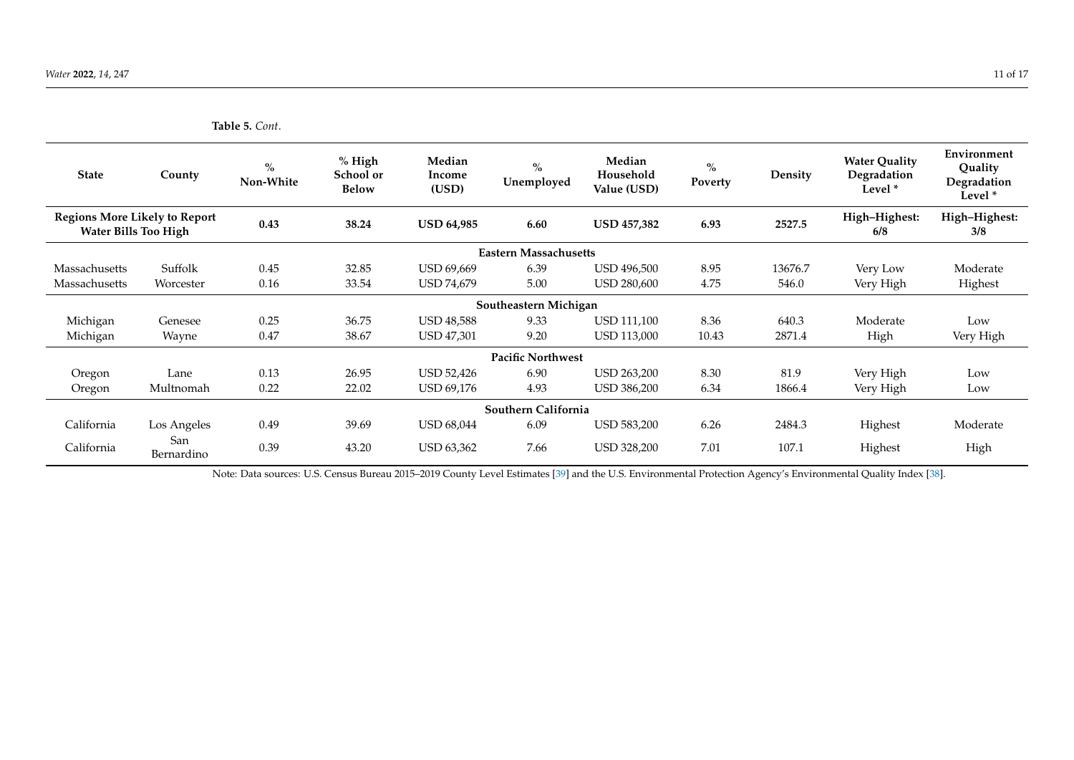**Table 5.** *Cont*.

| <b>State</b>                                                        | County            | $\%$<br>Non-White | $%$ High<br>School or<br><b>Below</b> | Median<br>Income<br>(USD) | $\%$<br>Unemployed           | Median<br>Household<br>Value (USD) | $\%$<br>Poverty | Density | <b>Water Quality</b><br>Degradation<br>Level <sup>*</sup> | Environment<br>Quality<br>Degradation<br>Level <sup>*</sup> |
|---------------------------------------------------------------------|-------------------|-------------------|---------------------------------------|---------------------------|------------------------------|------------------------------------|-----------------|---------|-----------------------------------------------------------|-------------------------------------------------------------|
| <b>Regions More Likely to Report</b><br><b>Water Bills Too High</b> |                   | 0.43              | 38.24                                 | <b>USD 64,985</b>         | 6.60                         | <b>USD 457,382</b>                 | 6.93            | 2527.5  | High-Highest:<br>6/8                                      | High-Highest:<br>3/8                                        |
|                                                                     |                   |                   |                                       |                           | <b>Eastern Massachusetts</b> |                                    |                 |         |                                                           |                                                             |
| Massachusetts                                                       | Suffolk           | 0.45              | 32.85                                 | USD 69,669                | 6.39                         | <b>USD 496,500</b>                 | 8.95            | 13676.7 | Very Low                                                  | Moderate                                                    |
| Massachusetts                                                       | Worcester         | 0.16              | 33.54                                 | <b>USD 74,679</b>         | 5.00                         | USD 280,600                        | 4.75            | 546.0   | Very High                                                 | Highest                                                     |
|                                                                     |                   |                   |                                       |                           | Southeastern Michigan        |                                    |                 |         |                                                           |                                                             |
| Michigan                                                            | Genesee           | 0.25              | 36.75                                 | <b>USD 48,588</b>         | 9.33                         | <b>USD 111,100</b>                 | 8.36            | 640.3   | Moderate                                                  | Low                                                         |
| Michigan                                                            | Wayne             | 0.47              | 38.67                                 | <b>USD 47,301</b>         | 9.20                         | <b>USD 113,000</b>                 | 10.43           | 2871.4  | High                                                      | Very High                                                   |
|                                                                     |                   |                   |                                       |                           | <b>Pacific Northwest</b>     |                                    |                 |         |                                                           |                                                             |
| Oregon                                                              | Lane              | 0.13              | 26.95                                 | USD 52,426                | 6.90                         | <b>USD 263,200</b>                 | 8.30            | 81.9    | Very High                                                 | Low                                                         |
| Oregon                                                              | Multnomah         | 0.22              | 22.02                                 | <b>USD 69,176</b>         | 4.93                         | <b>USD 386,200</b>                 | 6.34            | 1866.4  | Very High                                                 | Low                                                         |
| Southern California                                                 |                   |                   |                                       |                           |                              |                                    |                 |         |                                                           |                                                             |
| California                                                          | Los Angeles       | 0.49              | 39.69                                 | <b>USD 68,044</b>         | 6.09                         | <b>USD 583,200</b>                 | 6.26            | 2484.3  | Highest                                                   | Moderate                                                    |
| California                                                          | San<br>Bernardino | 0.39              | 43.20                                 | <b>USD 63,362</b>         | 7.66                         | USD 328,200                        | 7.01            | 107.1   | Highest                                                   | High                                                        |

<span id="page-10-0"></span>Note: Data sources: U.S. Census Bureau 2015–2019 County Level Estimates [\[39\]](#page-16-6) and the U.S. Environmental Protection Agency's Environmental Quality Index [\[38\]](#page-16-7).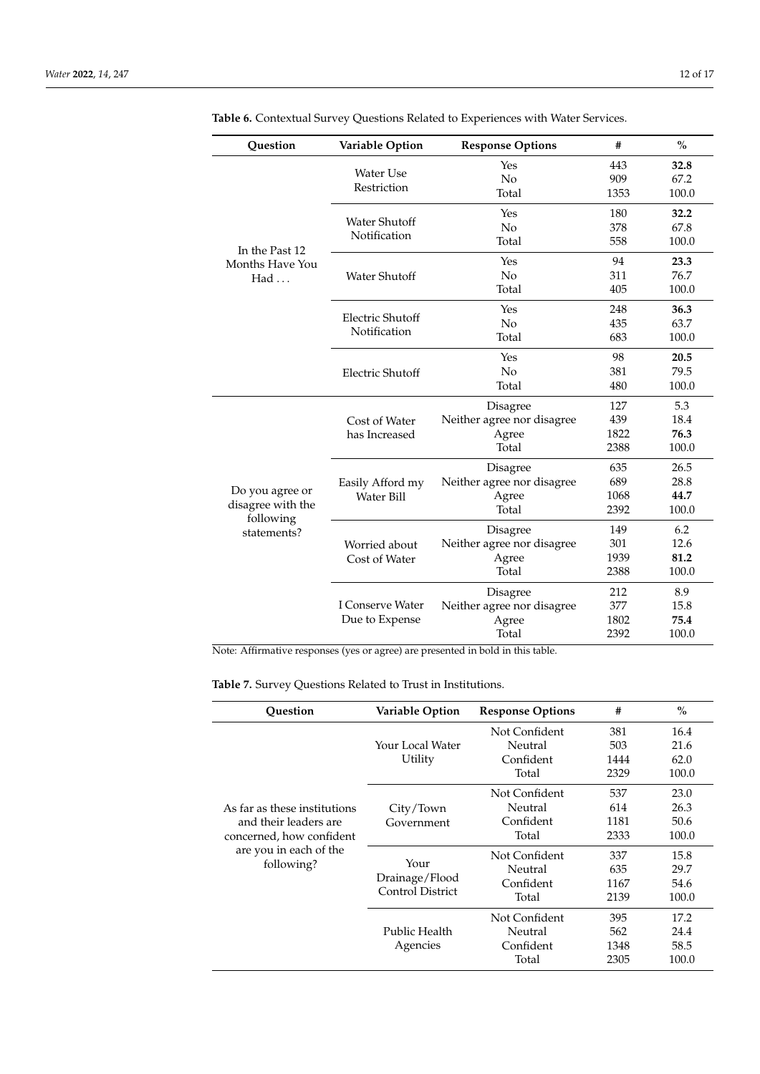| Question                       | Variable Option         | <b>Response Options</b>    | #    | $\frac{0}{0}$ |
|--------------------------------|-------------------------|----------------------------|------|---------------|
|                                |                         | Yes                        | 443  | 32.8          |
|                                | <b>Water Use</b>        | No                         | 909  | 67.2          |
|                                | Restriction             | Total                      | 1353 | 100.0         |
|                                | Water Shutoff           | Yes                        | 180  | 32.2          |
|                                | Notification            | No                         | 378  | 67.8          |
| In the Past 12                 |                         | Total                      | 558  | 100.0         |
| Months Have You                |                         | Yes                        | 94   | 23.3          |
| Had                            | <b>Water Shutoff</b>    | No                         | 311  | 76.7          |
|                                |                         | Total                      | 405  | 100.0         |
|                                | Electric Shutoff        | Yes                        | 248  | 36.3          |
|                                | Notification            | No                         | 435  | 63.7          |
|                                |                         | Total                      | 683  | 100.0         |
|                                |                         | Yes                        | 98   | 20.5          |
|                                | <b>Electric Shutoff</b> | No                         | 381  | 79.5          |
|                                |                         | Total                      | 480  | 100.0         |
|                                |                         | Disagree                   | 127  | 5.3           |
|                                | Cost of Water           | Neither agree nor disagree | 439  | 18.4          |
|                                | has Increased           | Agree                      | 1822 | 76.3          |
|                                |                         | Total                      | 2388 | 100.0         |
|                                |                         | Disagree                   | 635  | 26.5          |
|                                | Easily Afford my        | Neither agree nor disagree | 689  | 28.8          |
| Do you agree or                | <b>Water Bill</b>       | Agree                      | 1068 | 44.7          |
| disagree with the<br>following |                         | Total                      | 2392 | 100.0         |
| statements?                    |                         | Disagree                   | 149  | 6.2           |
|                                | Worried about           | Neither agree nor disagree | 301  | 12.6          |
|                                | Cost of Water           | Agree                      | 1939 | 81.2          |
|                                |                         | Total                      | 2388 | 100.0         |
|                                |                         | Disagree                   | 212  | 8.9           |
|                                | I Conserve Water        | Neither agree nor disagree | 377  | 15.8          |
|                                | Due to Expense          | Agree                      | 1802 | 75.4          |
|                                |                         | Total                      | 2392 | 100.0         |

<span id="page-11-0"></span>**Table 6.** Contextual Survey Questions Related to Experiences with Water Services.

Note: Affirmative responses (yes or agree) are presented in bold in this table.

<span id="page-11-1"></span>**Table 7.** Survey Questions Related to Trust in Institutions.

| <b>Ouestion</b>                                                                   | Variable Option                                   | <b>Response Options</b>                        | #                          | $\%$                          |
|-----------------------------------------------------------------------------------|---------------------------------------------------|------------------------------------------------|----------------------------|-------------------------------|
|                                                                                   | Your Local Water<br>Utility                       | Not Confident<br>Neutral<br>Confident<br>Total | 381<br>503<br>1444<br>2329 | 16.4<br>21.6<br>62.0<br>100.0 |
| As far as these institutions<br>and their leaders are<br>concerned, how confident | City/Town<br>Government                           | Not Confident<br>Neutral<br>Confident<br>Total | 537<br>614<br>1181<br>2333 | 23.0<br>26.3<br>50.6<br>100.0 |
| are you in each of the<br>following?                                              | Your<br>Drainage/Flood<br><b>Control District</b> | Not Confident<br>Neutral<br>Confident<br>Total | 337<br>635<br>1167<br>2139 | 15.8<br>29.7<br>54.6<br>100.0 |
|                                                                                   | Public Health<br>Agencies                         | Not Confident<br>Neutral<br>Confident<br>Total | 395<br>562<br>1348<br>2305 | 17.2<br>24.4<br>58.5<br>100.0 |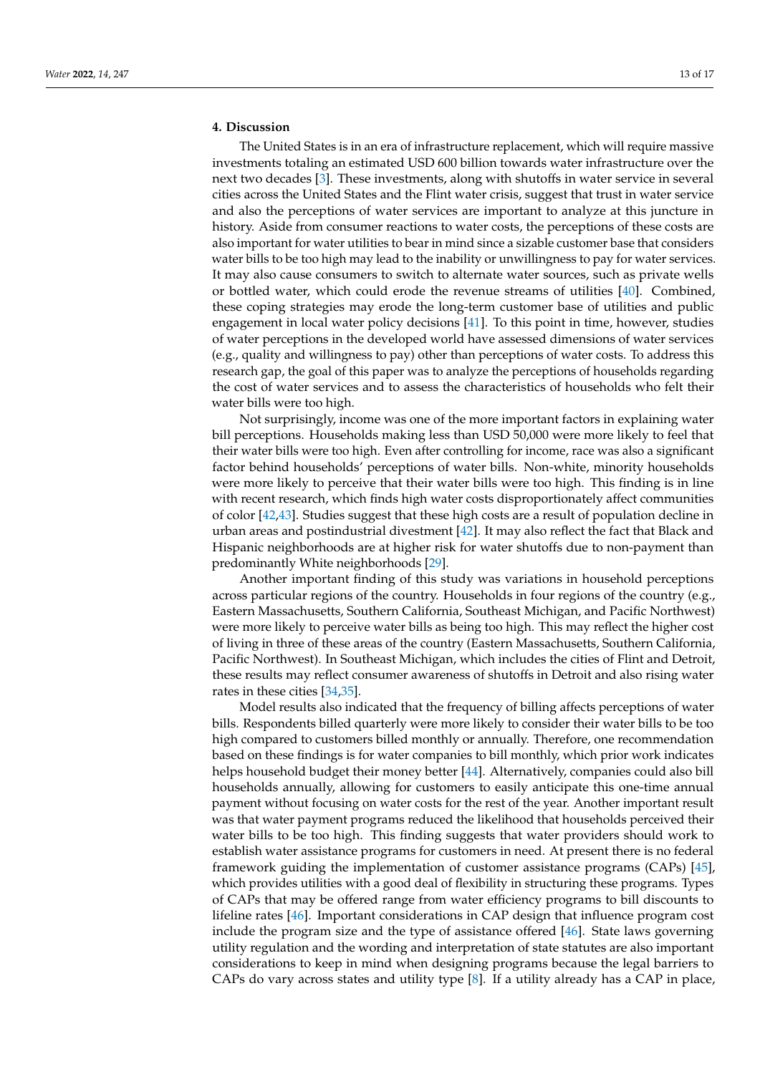## **4. Discussion**

The United States is in an era of infrastructure replacement, which will require massive investments totaling an estimated USD 600 billion towards water infrastructure over the next two decades [\[3\]](#page-14-2). These investments, along with shutoffs in water service in several cities across the United States and the Flint water crisis, suggest that trust in water service and also the perceptions of water services are important to analyze at this juncture in history. Aside from consumer reactions to water costs, the perceptions of these costs are also important for water utilities to bear in mind since a sizable customer base that considers water bills to be too high may lead to the inability or unwillingness to pay for water services. It may also cause consumers to switch to alternate water sources, such as private wells or bottled water, which could erode the revenue streams of utilities [\[40\]](#page-16-8). Combined, these coping strategies may erode the long-term customer base of utilities and public engagement in local water policy decisions [\[41\]](#page-16-9). To this point in time, however, studies of water perceptions in the developed world have assessed dimensions of water services (e.g., quality and willingness to pay) other than perceptions of water costs. To address this research gap, the goal of this paper was to analyze the perceptions of households regarding the cost of water services and to assess the characteristics of households who felt their water bills were too high.

Not surprisingly, income was one of the more important factors in explaining water bill perceptions. Households making less than USD 50,000 were more likely to feel that their water bills were too high. Even after controlling for income, race was also a significant factor behind households' perceptions of water bills. Non-white, minority households were more likely to perceive that their water bills were too high. This finding is in line with recent research, which finds high water costs disproportionately affect communities of color [\[42](#page-16-10)[,43\]](#page-16-11). Studies suggest that these high costs are a result of population decline in urban areas and postindustrial divestment [\[42\]](#page-16-10). It may also reflect the fact that Black and Hispanic neighborhoods are at higher risk for water shutoffs due to non-payment than predominantly White neighborhoods [\[29\]](#page-15-20).

Another important finding of this study was variations in household perceptions across particular regions of the country. Households in four regions of the country (e.g., Eastern Massachusetts, Southern California, Southeast Michigan, and Pacific Northwest) were more likely to perceive water bills as being too high. This may reflect the higher cost of living in three of these areas of the country (Eastern Massachusetts, Southern California, Pacific Northwest). In Southeast Michigan, which includes the cities of Flint and Detroit, these results may reflect consumer awareness of shutoffs in Detroit and also rising water rates in these cities [\[34](#page-16-0)[,35\]](#page-16-1).

Model results also indicated that the frequency of billing affects perceptions of water bills. Respondents billed quarterly were more likely to consider their water bills to be too high compared to customers billed monthly or annually. Therefore, one recommendation based on these findings is for water companies to bill monthly, which prior work indicates helps household budget their money better [\[44\]](#page-16-12). Alternatively, companies could also bill households annually, allowing for customers to easily anticipate this one-time annual payment without focusing on water costs for the rest of the year. Another important result was that water payment programs reduced the likelihood that households perceived their water bills to be too high. This finding suggests that water providers should work to establish water assistance programs for customers in need. At present there is no federal framework guiding the implementation of customer assistance programs (CAPs) [\[45\]](#page-16-13), which provides utilities with a good deal of flexibility in structuring these programs. Types of CAPs that may be offered range from water efficiency programs to bill discounts to lifeline rates [\[46\]](#page-16-14). Important considerations in CAP design that influence program cost include the program size and the type of assistance offered [\[46\]](#page-16-14). State laws governing utility regulation and the wording and interpretation of state statutes are also important considerations to keep in mind when designing programs because the legal barriers to CAPs do vary across states and utility type [\[8\]](#page-15-24). If a utility already has a CAP in place,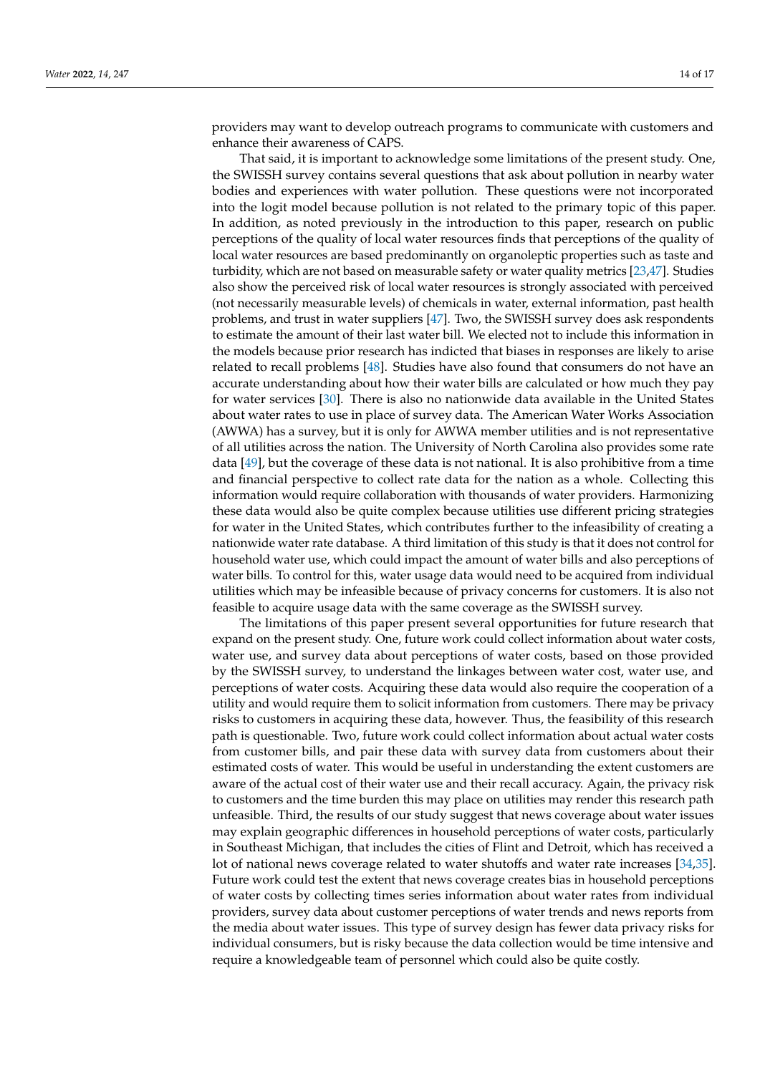providers may want to develop outreach programs to communicate with customers and enhance their awareness of CAPS.

That said, it is important to acknowledge some limitations of the present study. One, the SWISSH survey contains several questions that ask about pollution in nearby water bodies and experiences with water pollution. These questions were not incorporated into the logit model because pollution is not related to the primary topic of this paper. In addition, as noted previously in the introduction to this paper, research on public perceptions of the quality of local water resources finds that perceptions of the quality of local water resources are based predominantly on organoleptic properties such as taste and turbidity, which are not based on measurable safety or water quality metrics [\[23](#page-15-14)[,47\]](#page-16-15). Studies also show the perceived risk of local water resources is strongly associated with perceived (not necessarily measurable levels) of chemicals in water, external information, past health problems, and trust in water suppliers [\[47\]](#page-16-15). Two, the SWISSH survey does ask respondents to estimate the amount of their last water bill. We elected not to include this information in the models because prior research has indicted that biases in responses are likely to arise related to recall problems [\[48\]](#page-16-16). Studies have also found that consumers do not have an accurate understanding about how their water bills are calculated or how much they pay for water services [\[30\]](#page-15-21). There is also no nationwide data available in the United States about water rates to use in place of survey data. The American Water Works Association (AWWA) has a survey, but it is only for AWWA member utilities and is not representative of all utilities across the nation. The University of North Carolina also provides some rate data [\[49\]](#page-16-17), but the coverage of these data is not national. It is also prohibitive from a time and financial perspective to collect rate data for the nation as a whole. Collecting this information would require collaboration with thousands of water providers. Harmonizing these data would also be quite complex because utilities use different pricing strategies for water in the United States, which contributes further to the infeasibility of creating a nationwide water rate database. A third limitation of this study is that it does not control for household water use, which could impact the amount of water bills and also perceptions of water bills. To control for this, water usage data would need to be acquired from individual utilities which may be infeasible because of privacy concerns for customers. It is also not feasible to acquire usage data with the same coverage as the SWISSH survey.

The limitations of this paper present several opportunities for future research that expand on the present study. One, future work could collect information about water costs, water use, and survey data about perceptions of water costs, based on those provided by the SWISSH survey, to understand the linkages between water cost, water use, and perceptions of water costs. Acquiring these data would also require the cooperation of a utility and would require them to solicit information from customers. There may be privacy risks to customers in acquiring these data, however. Thus, the feasibility of this research path is questionable. Two, future work could collect information about actual water costs from customer bills, and pair these data with survey data from customers about their estimated costs of water. This would be useful in understanding the extent customers are aware of the actual cost of their water use and their recall accuracy. Again, the privacy risk to customers and the time burden this may place on utilities may render this research path unfeasible. Third, the results of our study suggest that news coverage about water issues may explain geographic differences in household perceptions of water costs, particularly in Southeast Michigan, that includes the cities of Flint and Detroit, which has received a lot of national news coverage related to water shutoffs and water rate increases [\[34,](#page-16-0)[35\]](#page-16-1). Future work could test the extent that news coverage creates bias in household perceptions of water costs by collecting times series information about water rates from individual providers, survey data about customer perceptions of water trends and news reports from the media about water issues. This type of survey design has fewer data privacy risks for individual consumers, but is risky because the data collection would be time intensive and require a knowledgeable team of personnel which could also be quite costly.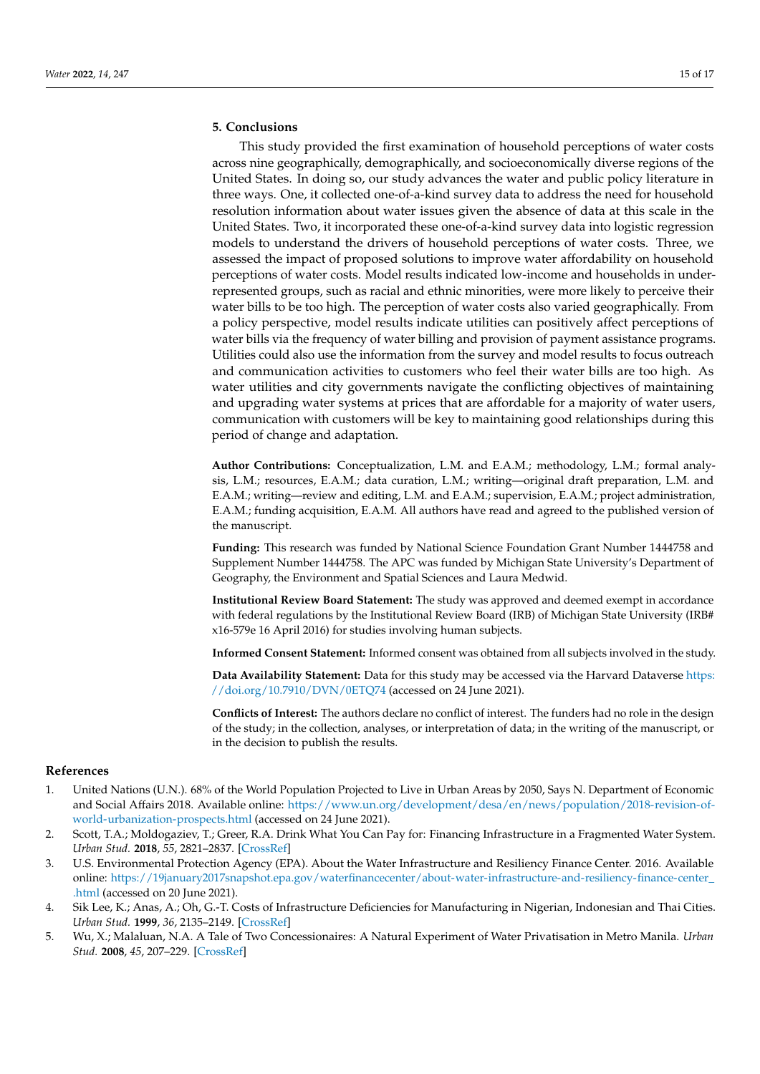## **5. Conclusions**

This study provided the first examination of household perceptions of water costs across nine geographically, demographically, and socioeconomically diverse regions of the United States. In doing so, our study advances the water and public policy literature in three ways. One, it collected one-of-a-kind survey data to address the need for household resolution information about water issues given the absence of data at this scale in the United States. Two, it incorporated these one-of-a-kind survey data into logistic regression models to understand the drivers of household perceptions of water costs. Three, we assessed the impact of proposed solutions to improve water affordability on household perceptions of water costs. Model results indicated low-income and households in underrepresented groups, such as racial and ethnic minorities, were more likely to perceive their water bills to be too high. The perception of water costs also varied geographically. From a policy perspective, model results indicate utilities can positively affect perceptions of water bills via the frequency of water billing and provision of payment assistance programs. Utilities could also use the information from the survey and model results to focus outreach and communication activities to customers who feel their water bills are too high. As water utilities and city governments navigate the conflicting objectives of maintaining and upgrading water systems at prices that are affordable for a majority of water users, communication with customers will be key to maintaining good relationships during this period of change and adaptation.

**Author Contributions:** Conceptualization, L.M. and E.A.M.; methodology, L.M.; formal analysis, L.M.; resources, E.A.M.; data curation, L.M.; writing—original draft preparation, L.M. and E.A.M.; writing—review and editing, L.M. and E.A.M.; supervision, E.A.M.; project administration, E.A.M.; funding acquisition, E.A.M. All authors have read and agreed to the published version of the manuscript.

**Funding:** This research was funded by National Science Foundation Grant Number 1444758 and Supplement Number 1444758. The APC was funded by Michigan State University's Department of Geography, the Environment and Spatial Sciences and Laura Medwid.

**Institutional Review Board Statement:** The study was approved and deemed exempt in accordance with federal regulations by the Institutional Review Board (IRB) of Michigan State University (IRB# x16-579e 16 April 2016) for studies involving human subjects.

**Informed Consent Statement:** Informed consent was obtained from all subjects involved in the study.

**Data Availability Statement:** Data for this study may be accessed via the Harvard Dataverse [https:](https://doi.org/10.7910/DVN/0ETQ74) [//doi.org/10.7910/DVN/0ETQ74](https://doi.org/10.7910/DVN/0ETQ74) (accessed on 24 June 2021).

**Conflicts of Interest:** The authors declare no conflict of interest. The funders had no role in the design of the study; in the collection, analyses, or interpretation of data; in the writing of the manuscript, or in the decision to publish the results.

#### **References**

- <span id="page-14-0"></span>1. United Nations (U.N.). 68% of the World Population Projected to Live in Urban Areas by 2050, Says N. Department of Economic and Social Affairs 2018. Available online: [https://www.un.org/development/desa/en/news/population/2018-revision-of](https://www.un.org/development/desa/en/news/population/2018-revision-of-world-urbanization-prospects.html)[world-urbanization-prospects.html](https://www.un.org/development/desa/en/news/population/2018-revision-of-world-urbanization-prospects.html) (accessed on 24 June 2021).
- <span id="page-14-1"></span>2. Scott, T.A.; Moldogaziev, T.; Greer, R.A. Drink What You Can Pay for: Financing Infrastructure in a Fragmented Water System. *Urban Stud.* **2018**, *55*, 2821–2837. [\[CrossRef\]](http://doi.org/10.1177/0042098017729092)
- <span id="page-14-2"></span>3. U.S. Environmental Protection Agency (EPA). About the Water Infrastructure and Resiliency Finance Center. 2016. Available online: [https://19january2017snapshot.epa.gov/waterfinancecenter/about-water-infrastructure-and-resiliency-finance-center\\_](https://19january2017snapshot.epa.gov/waterfinancecenter/about-water-infrastructure-and-resiliency-finance-center_.html) [.html](https://19january2017snapshot.epa.gov/waterfinancecenter/about-water-infrastructure-and-resiliency-finance-center_.html) (accessed on 20 June 2021).
- <span id="page-14-3"></span>4. Sik Lee, K.; Anas, A.; Oh, G.-T. Costs of Infrastructure Deficiencies for Manufacturing in Nigerian, Indonesian and Thai Cities. *Urban Stud.* **1999**, *36*, 2135–2149. [\[CrossRef\]](http://doi.org/10.1080/0042098992593)
- <span id="page-14-4"></span>5. Wu, X.; Malaluan, N.A. A Tale of Two Concessionaires: A Natural Experiment of Water Privatisation in Metro Manila. *Urban Stud.* **2008**, *45*, 207–229. [\[CrossRef\]](http://doi.org/10.2139/ssrn.2336807)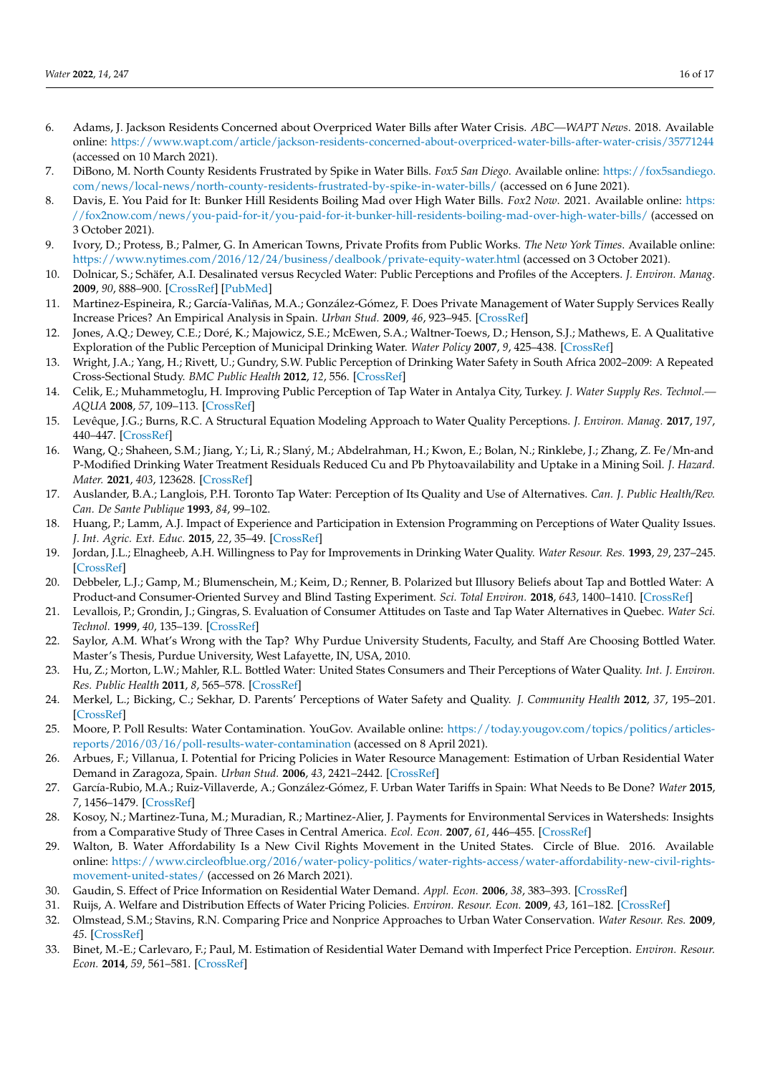- <span id="page-15-0"></span>6. Adams, J. Jackson Residents Concerned about Overpriced Water Bills after Water Crisis. *ABC—WAPT News*. 2018. Available online: <https://www.wapt.com/article/jackson-residents-concerned-about-overpriced-water-bills-after-water-crisis/35771244> (accessed on 10 March 2021).
- <span id="page-15-2"></span>7. DiBono, M. North County Residents Frustrated by Spike in Water Bills. *Fox5 San Diego*. Available online: [https://fox5sandiego.](https://fox5sandiego.com/news/local-news/north-county-residents-frustrated-by-spike-in-water-bills/) [com/news/local-news/north-county-residents-frustrated-by-spike-in-water-bills/](https://fox5sandiego.com/news/local-news/north-county-residents-frustrated-by-spike-in-water-bills/) (accessed on 6 June 2021).
- <span id="page-15-24"></span>8. Davis, E. You Paid for It: Bunker Hill Residents Boiling Mad over High Water Bills. *Fox2 Now*. 2021. Available online: [https:](https://fox2now.com/news/you-paid-for-it/you-paid-for-it-bunker-hill-residents-boiling-mad-over-high-water-bills/) [//fox2now.com/news/you-paid-for-it/you-paid-for-it-bunker-hill-residents-boiling-mad-over-high-water-bills/](https://fox2now.com/news/you-paid-for-it/you-paid-for-it-bunker-hill-residents-boiling-mad-over-high-water-bills/) (accessed on 3 October 2021).
- <span id="page-15-1"></span>9. Ivory, D.; Protess, B.; Palmer, G. In American Towns, Private Profits from Public Works. *The New York Times*. Available online: <https://www.nytimes.com/2016/12/24/business/dealbook/private-equity-water.html> (accessed on 3 October 2021).
- <span id="page-15-3"></span>10. Dolnicar, S.; Schäfer, A.I. Desalinated versus Recycled Water: Public Perceptions and Profiles of the Accepters. *J. Environ. Manag.* **2009**, *90*, 888–900. [\[CrossRef\]](http://doi.org/10.1016/j.jenvman.2008.02.003) [\[PubMed\]](http://www.ncbi.nlm.nih.gov/pubmed/18433981)
- <span id="page-15-4"></span>11. Martinez-Espineira, R.; García-Valiñas, M.A.; González-Gómez, F. Does Private Management of Water Supply Services Really Increase Prices? An Empirical Analysis in Spain. *Urban Stud.* **2009**, *46*, 923–945. [\[CrossRef\]](http://doi.org/10.1177/0042098009102135)
- <span id="page-15-5"></span>12. Jones, A.Q.; Dewey, C.E.; Doré, K.; Majowicz, S.E.; McEwen, S.A.; Waltner-Toews, D.; Henson, S.J.; Mathews, E. A Qualitative Exploration of the Public Perception of Municipal Drinking Water. *Water Policy* **2007**, *9*, 425–438. [\[CrossRef\]](http://doi.org/10.2166/wp.2007.019)
- 13. Wright, J.A.; Yang, H.; Rivett, U.; Gundry, S.W. Public Perception of Drinking Water Safety in South Africa 2002–2009: A Repeated Cross-Sectional Study. *BMC Public Health* **2012**, *12*, 556. [\[CrossRef\]](http://doi.org/10.1186/1471-2458-12-556)
- <span id="page-15-10"></span>14. Celik, E.; Muhammetoglu, H. Improving Public Perception of Tap Water in Antalya City, Turkey. *J. Water Supply Res. Technol.— AQUA* **2008**, *57*, 109–113. [\[CrossRef\]](http://doi.org/10.2166/aqua.2008.040)
- 15. Levêque, J.G.; Burns, R.C. A Structural Equation Modeling Approach to Water Quality Perceptions. *J. Environ. Manag.* **2017**, *197*, 440–447. [\[CrossRef\]](http://doi.org/10.1016/j.jenvman.2017.04.024)
- <span id="page-15-6"></span>16. Wang, Q.; Shaheen, S.M.; Jiang, Y.; Li, R.; Slaný, M.; Abdelrahman, H.; Kwon, E.; Bolan, N.; Rinklebe, J.; Zhang, Z. Fe/Mn-and P-Modified Drinking Water Treatment Residuals Reduced Cu and Pb Phytoavailability and Uptake in a Mining Soil. *J. Hazard. Mater.* **2021**, *403*, 123628. [\[CrossRef\]](http://doi.org/10.1016/j.jhazmat.2020.123628)
- <span id="page-15-7"></span>17. Auslander, B.A.; Langlois, P.H. Toronto Tap Water: Perception of Its Quality and Use of Alternatives. *Can. J. Public Health/Rev. Can. De Sante Publique* **1993**, *84*, 99–102.
- <span id="page-15-8"></span>18. Huang, P.; Lamm, A.J. Impact of Experience and Participation in Extension Programming on Perceptions of Water Quality Issues. *J. Int. Agric. Ext. Educ.* **2015**, *22*, 35–49. [\[CrossRef\]](http://doi.org/10.5191/jiaee.2015.22303)
- <span id="page-15-9"></span>19. Jordan, J.L.; Elnagheeb, A.H. Willingness to Pay for Improvements in Drinking Water Quality. *Water Resour. Res.* **1993**, *29*, 237–245. [\[CrossRef\]](http://doi.org/10.1029/92WR02420)
- <span id="page-15-11"></span>20. Debbeler, L.J.; Gamp, M.; Blumenschein, M.; Keim, D.; Renner, B. Polarized but Illusory Beliefs about Tap and Bottled Water: A Product-and Consumer-Oriented Survey and Blind Tasting Experiment. *Sci. Total Environ.* **2018**, *643*, 1400–1410. [\[CrossRef\]](http://doi.org/10.1016/j.scitotenv.2018.06.190)
- <span id="page-15-12"></span>21. Levallois, P.; Grondin, J.; Gingras, S. Evaluation of Consumer Attitudes on Taste and Tap Water Alternatives in Quebec. *Water Sci. Technol.* **1999**, *40*, 135–139. [\[CrossRef\]](http://doi.org/10.2166/wst.1999.0282)
- <span id="page-15-13"></span>22. Saylor, A.M. What's Wrong with the Tap? Why Purdue University Students, Faculty, and Staff Are Choosing Bottled Water. Master's Thesis, Purdue University, West Lafayette, IN, USA, 2010.
- <span id="page-15-14"></span>23. Hu, Z.; Morton, L.W.; Mahler, R.L. Bottled Water: United States Consumers and Their Perceptions of Water Quality. *Int. J. Environ. Res. Public Health* **2011**, *8*, 565–578. [\[CrossRef\]](http://doi.org/10.3390/ijerph8020565)
- <span id="page-15-15"></span>24. Merkel, L.; Bicking, C.; Sekhar, D. Parents' Perceptions of Water Safety and Quality. *J. Community Health* **2012**, *37*, 195–201. [\[CrossRef\]](http://doi.org/10.1007/s10900-011-9436-9)
- <span id="page-15-16"></span>25. Moore, P. Poll Results: Water Contamination. YouGov. Available online: [https://today.yougov.com/topics/politics/articles](https://today.yougov.com/topics/politics/articles-reports/2016/03/16/poll-results-water-contamination)[reports/2016/03/16/poll-results-water-contamination](https://today.yougov.com/topics/politics/articles-reports/2016/03/16/poll-results-water-contamination) (accessed on 8 April 2021).
- <span id="page-15-17"></span>26. Arbues, F.; Villanua, I. Potential for Pricing Policies in Water Resource Management: Estimation of Urban Residential Water Demand in Zaragoza, Spain. *Urban Stud.* **2006**, *43*, 2421–2442. [\[CrossRef\]](http://doi.org/10.1080/00420980601038255)
- <span id="page-15-18"></span>27. García-Rubio, M.A.; Ruiz-Villaverde, A.; González-Gómez, F. Urban Water Tariffs in Spain: What Needs to Be Done? *Water* **2015**, *7*, 1456–1479. [\[CrossRef\]](http://doi.org/10.3390/w7041456)
- <span id="page-15-19"></span>28. Kosoy, N.; Martinez-Tuna, M.; Muradian, R.; Martinez-Alier, J. Payments for Environmental Services in Watersheds: Insights from a Comparative Study of Three Cases in Central America. *Ecol. Econ.* **2007**, *61*, 446–455. [\[CrossRef\]](http://doi.org/10.1016/j.ecolecon.2006.03.016)
- <span id="page-15-20"></span>29. Walton, B. Water Affordability Is a New Civil Rights Movement in the United States. Circle of Blue. 2016. Available online: [https://www.circleofblue.org/2016/water-policy-politics/water-rights-access/water-affordability-new-civil-rights](https://www.circleofblue.org/2016/water-policy-politics/water-rights-access/water-affordability-new-civil-rights-movement-united-states/)[movement-united-states/](https://www.circleofblue.org/2016/water-policy-politics/water-rights-access/water-affordability-new-civil-rights-movement-united-states/) (accessed on 26 March 2021).
- <span id="page-15-21"></span>30. Gaudin, S. Effect of Price Information on Residential Water Demand. *Appl. Econ.* **2006**, *38*, 383–393. [\[CrossRef\]](http://doi.org/10.1080/00036840500397499)
- 31. Ruijs, A. Welfare and Distribution Effects of Water Pricing Policies. *Environ. Resour. Econ.* **2009**, *43*, 161–182. [\[CrossRef\]](http://doi.org/10.1007/s10640-008-9228-6)
- <span id="page-15-22"></span>32. Olmstead, S.M.; Stavins, R.N. Comparing Price and Nonprice Approaches to Urban Water Conservation. *Water Resour. Res.* **2009**, *45*. [\[CrossRef\]](http://doi.org/10.1029/2008WR007227)
- <span id="page-15-23"></span>33. Binet, M.-E.; Carlevaro, F.; Paul, M. Estimation of Residential Water Demand with Imperfect Price Perception. *Environ. Resour. Econ.* **2014**, *59*, 561–581. [\[CrossRef\]](http://doi.org/10.1007/s10640-013-9750-z)